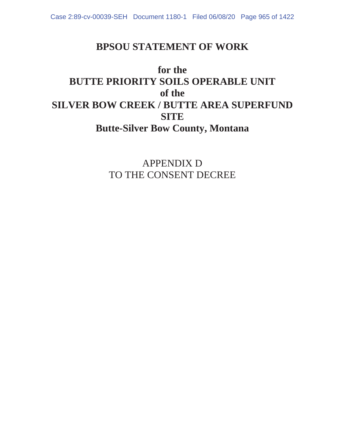# **BPSOU STATEMENT OF WORK**

# **for the BUTTE PRIORITY SOILS OPERABLE UNIT of the SILVER BOW CREEK / BUTTE AREA SUPERFUND SITE Butte-Silver Bow County, Montana**

APPENDIX D TO THE CONSENT DECREE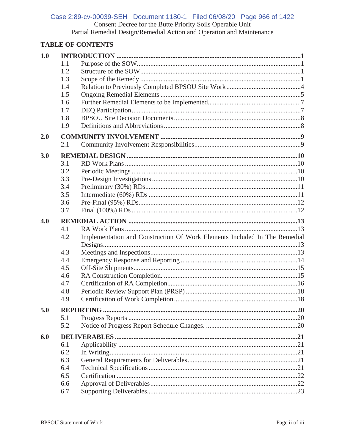# Case 2:89-cv-00039-SEH Document 1180-1 Filed 06/08/20 Page 966 of 1422 Consent Decree for the Butte Priority Soils Operable Unit<br>Partial Remedial Design/Remedial Action and Operation and Maintenance

### **TABLE OF CONTENTS**

| 1.0 |            |                                                                           |  |  |  |
|-----|------------|---------------------------------------------------------------------------|--|--|--|
|     | 1.1        |                                                                           |  |  |  |
|     | 1.2        |                                                                           |  |  |  |
|     | 1.3        |                                                                           |  |  |  |
|     | 1.4        |                                                                           |  |  |  |
|     | 1.5        |                                                                           |  |  |  |
|     | 1.6        |                                                                           |  |  |  |
|     | 1.7        |                                                                           |  |  |  |
|     | 1.8        |                                                                           |  |  |  |
|     | 1.9        |                                                                           |  |  |  |
| 2.0 |            |                                                                           |  |  |  |
|     | 2.1        |                                                                           |  |  |  |
| 3.0 |            |                                                                           |  |  |  |
|     | 3.1        |                                                                           |  |  |  |
|     | 3.2        |                                                                           |  |  |  |
|     | 3.3        |                                                                           |  |  |  |
|     | 3.4        |                                                                           |  |  |  |
|     | 3.5        |                                                                           |  |  |  |
|     | 3.6        |                                                                           |  |  |  |
|     | 3.7        |                                                                           |  |  |  |
| 4.0 |            |                                                                           |  |  |  |
|     | 4.1        |                                                                           |  |  |  |
|     | 4.2        | Implementation and Construction Of Work Elements Included In The Remedial |  |  |  |
|     |            |                                                                           |  |  |  |
|     | 4.3        |                                                                           |  |  |  |
|     | 4.4        |                                                                           |  |  |  |
|     | 4.5        |                                                                           |  |  |  |
|     | 4.6        |                                                                           |  |  |  |
|     | 4.7        |                                                                           |  |  |  |
|     | 4.8        |                                                                           |  |  |  |
|     | 4.9        |                                                                           |  |  |  |
| 5.0 |            |                                                                           |  |  |  |
|     | 5.1        |                                                                           |  |  |  |
|     | 5.2        |                                                                           |  |  |  |
| 6.0 |            |                                                                           |  |  |  |
|     | 6.1        |                                                                           |  |  |  |
|     |            |                                                                           |  |  |  |
|     | 6.2        |                                                                           |  |  |  |
|     | 6.3        |                                                                           |  |  |  |
|     | 6.4        |                                                                           |  |  |  |
|     | 6.5        |                                                                           |  |  |  |
|     | 6.6<br>6.7 |                                                                           |  |  |  |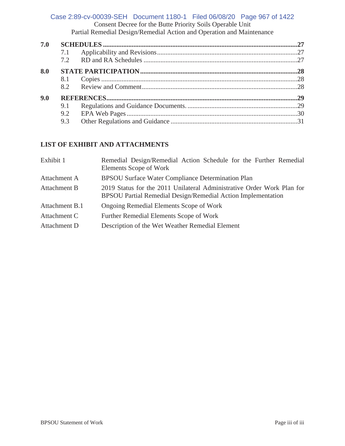### Consent Decree for the Butte Priority Soils Operable Unit Partial Remedial Design/Remedial Action and Operation and Maintenance Case 2:89-cv-00039-SEH Document 1180-1 Filed 06/08/20 Page 967 of 1422

| 7.0 |     |  |
|-----|-----|--|
|     | 7.1 |  |
|     |     |  |
| 8.0 |     |  |
|     | 8.1 |  |
|     |     |  |
| 9.0 |     |  |
|     | 9.1 |  |
|     | 9.2 |  |
|     | 9.3 |  |

### **LIST OF EXHIBIT AND ATTACHMENTS**

| Remedial Design/Remedial Action Schedule for the Further Remedial<br>Elements Scope of Work                                            |  |  |  |  |  |
|----------------------------------------------------------------------------------------------------------------------------------------|--|--|--|--|--|
| <b>BPSOU Surface Water Compliance Determination Plan</b>                                                                               |  |  |  |  |  |
| 2019 Status for the 2011 Unilateral Administrative Order Work Plan for<br>BPSOU Partial Remedial Design/Remedial Action Implementation |  |  |  |  |  |
| Ongoing Remedial Elements Scope of Work                                                                                                |  |  |  |  |  |
| Further Remedial Elements Scope of Work                                                                                                |  |  |  |  |  |
| Description of the Wet Weather Remedial Element                                                                                        |  |  |  |  |  |
|                                                                                                                                        |  |  |  |  |  |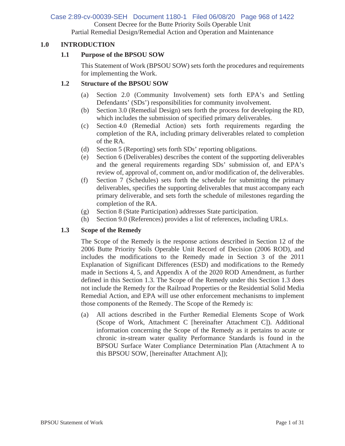## Case 2:89-cv-00039-SEH Document 1180-1 Filed 06/08/20 Page 968 of 1422

Consent Decree for the Butte Priority Soils Operable Unit

Partial Remedial Design/Remedial Action and Operation and Maintenance

### **1.0 INTRODUCTION**

### **1.1 Purpose of the BPSOU SOW**

This Statement of Work (BPSOU SOW) sets forth the procedures and requirements for implementing the Work.

### **1.2 Structure of the BPSOU SOW**

- (a) Section 2.0 (Community Involvement) sets forth EPA's and Settling Defendants' (SDs') responsibilities for community involvement.
- (b) Section 3.0 (Remedial Design) sets forth the process for developing the RD, which includes the submission of specified primary deliverables.
- (c) Section 4.0 (Remedial Action) sets forth requirements regarding the completion of the RA, including primary deliverables related to completion of the RA.
- (d) Section 5 (Reporting) sets forth SDs' reporting obligations.
- (e) Section 6 (Deliverables) describes the content of the supporting deliverables and the general requirements regarding SDs' submission of, and EPA's review of, approval of, comment on, and/or modification of, the deliverables.
- (f) Section 7 (Schedules) sets forth the schedule for submitting the primary deliverables, specifies the supporting deliverables that must accompany each primary deliverable, and sets forth the schedule of milestones regarding the completion of the RA.
- (g) Section 8 (State Participation) addresses State participation.
- (h) Section 9.0 (References) provides a list of references, including URLs.

### **1.3 Scope of the Remedy**

The Scope of the Remedy is the response actions described in Section 12 of the 2006 Butte Priority Soils Operable Unit Record of Decision (2006 ROD), and includes the modifications to the Remedy made in Section 3 of the 2011 Explanation of Significant Differences (ESD) and modifications to the Remedy made in Sections 4, 5, and Appendix A of the 2020 ROD Amendment, as further defined in this Section 1.3. The Scope of the Remedy under this Section 1.3 does not include the Remedy for the Railroad Properties or the Residential Solid Media Remedial Action, and EPA will use other enforcement mechanisms to implement those components of the Remedy. The Scope of the Remedy is:

(a) All actions described in the Further Remedial Elements Scope of Work (Scope of Work, Attachment C [hereinafter Attachment C]). Additional information concerning the Scope of the Remedy as it pertains to acute or chronic in-stream water quality Performance Standards is found in the BPSOU Surface Water Compliance Determination Plan (Attachment A to this BPSOU SOW, [hereinafter Attachment A]);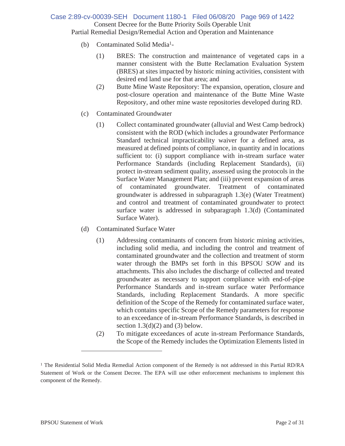### Consent Decree for the Butte Priority Soils Operable Unit Partial Remedial Design/Remedial Action and Operation and Maintenance Case 2:89-cv-00039-SEH Document 1180-1 Filed 06/08/20 Page 969 of 1422

- (b) Contaminated Solid Media1-
	- (1) BRES: The construction and maintenance of vegetated caps in a manner consistent with the Butte Reclamation Evaluation System (BRES) at sites impacted by historic mining activities, consistent with desired end land use for that area; and
	- (2) Butte Mine Waste Repository: The expansion, operation, closure and post-closure operation and maintenance of the Butte Mine Waste Repository, and other mine waste repositories developed during RD.
- (c) Contaminated Groundwater
	- (1) Collect contaminated groundwater (alluvial and West Camp bedrock) consistent with the ROD (which includes a groundwater Performance Standard technical impracticability waiver for a defined area, as measured at defined points of compliance, in quantity and in locations sufficient to: (i) support compliance with in-stream surface water Performance Standards (including Replacement Standards), (ii) protect in-stream sediment quality, assessed using the protocols in the Surface Water Management Plan; and (iii) prevent expansion of areas of contaminated groundwater. Treatment of contaminated groundwater is addressed in subparagraph 1.3(e) (Water Treatment) and control and treatment of contaminated groundwater to protect surface water is addressed in subparagraph 1.3(d) (Contaminated Surface Water).
- (d) Contaminated Surface Water
	- (1) Addressing contaminants of concern from historic mining activities, including solid media, and including the control and treatment of contaminated groundwater and the collection and treatment of storm water through the BMPs set forth in this BPSOU SOW and its attachments. This also includes the discharge of collected and treated groundwater as necessary to support compliance with end-of-pipe Performance Standards and in-stream surface water Performance Standards, including Replacement Standards. A more specific definition of the Scope of the Remedy for contaminated surface water, which contains specific Scope of the Remedy parameters for response to an exceedance of in-stream Performance Standards, is described in section  $1.3(d)(2)$  and  $(3)$  below.
	- (2) To mitigate exceedances of acute in-stream Performance Standards, the Scope of the Remedy includes the Optimization Elements listed in

<sup>&</sup>lt;sup>1</sup> The Residential Solid Media Remedial Action component of the Remedy is not addressed in this Partial RD/RA Statement of Work or the Consent Decree. The EPA will use other enforcement mechanisms to implement this component of the Remedy.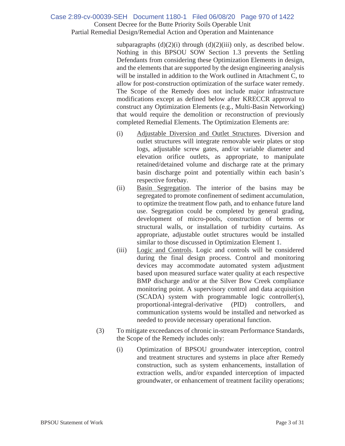### Consent Decree for the Butte Priority Soils Operable Unit Partial Remedial Design/Remedial Action and Operation and Maintenance Case 2:89-cv-00039-SEH Document 1180-1 Filed 06/08/20 Page 970 of 1422

subparagraphs  $(d)(2)(i)$  through  $(d)(2)(iii)$  only, as described below. Nothing in this BPSOU SOW Section 1.3 prevents the Settling Defendants from considering these Optimization Elements in design, and the elements that are supported by the design engineering analysis will be installed in addition to the Work outlined in Attachment C, to allow for post-construction optimization of the surface water remedy. The Scope of the Remedy does not include major infrastructure modifications except as defined below after KRECCR approval to construct any Optimization Elements (e.g., Multi-Basin Networking) that would require the demolition or reconstruction of previously completed Remedial Elements. The Optimization Elements are:

- (i) Adjustable Diversion and Outlet Structures. Diversion and outlet structures will integrate removable weir plates or stop logs, adjustable screw gates, and/or variable diameter and elevation orifice outlets, as appropriate, to manipulate retained/detained volume and discharge rate at the primary basin discharge point and potentially within each basin's respective forebay.
- (ii) Basin Segregation. The interior of the basins may be segregated to promote confinement of sediment accumulation, to optimize the treatment flow path, and to enhance future land use. Segregation could be completed by general grading, development of micro-pools, construction of berms or structural walls, or installation of turbidity curtains. As appropriate, adjustable outlet structures would be installed similar to those discussed in Optimization Element 1.
- (iii) Logic and Controls. Logic and controls will be considered during the final design process. Control and monitoring devices may accommodate automated system adjustment based upon measured surface water quality at each respective BMP discharge and/or at the Silver Bow Creek compliance monitoring point. A supervisory control and data acquisition (SCADA) system with programmable logic controller(s), proportional-integral-derivative (PID) controllers, and communication systems would be installed and networked as needed to provide necessary operational function.
- (3) To mitigate exceedances of chronic in-stream Performance Standards, the Scope of the Remedy includes only:
	- (i) Optimization of BPSOU groundwater interception, control and treatment structures and systems in place after Remedy construction, such as system enhancements, installation of extraction wells, and/or expanded interception of impacted groundwater, or enhancement of treatment facility operations;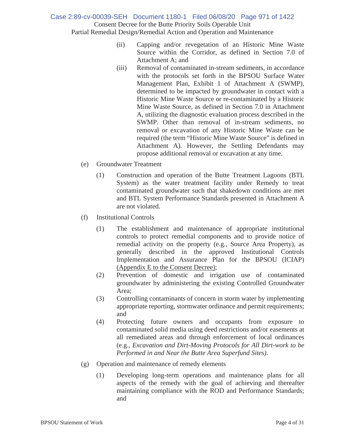Consent Decree for the Butte Priority Soils Operable Unit Partial Remedial Design/Remedial Action and Operation and Maintenance Case 2:89-cv-00039-SEH Document 1180-1 Filed 06/08/20 Page 971 of 1422

- (ii) Capping and/or revegetation of an Historic Mine Waste Source within the Corridor, as defined in Section 7.0 of Attachment A; and
- (iii) Removal of contaminated in-stream sediments, in accordance with the protocols set forth in the BPSOU Surface Water Management Plan, Exhibit 1 of Attachment A (SWMP), determined to be impacted by groundwater in contact with a Historic Mine Waste Source or re-contaminated by a Historic Mine Waste Source, as defined in Section 7.0 in Attachment A, utilizing the diagnostic evaluation process described in the SWMP. Other than removal of in-stream sediments, no removal or excavation of any Historic Mine Waste can be required (the term "Historic Mine Waste Source" is defined in Attachment A). However, the Settling Defendants may propose additional removal or excavation at any time.
- (e) Groundwater Treatment
	- (1) Construction and operation of the Butte Treatment Lagoons (BTL System) as the water treatment facility under Remedy to treat contaminated groundwater such that shakedown conditions are met and BTL System Performance Standards presented in Attachment A are not violated.
- (f) Institutional Controls
	- (1) The establishment and maintenance of appropriate institutional controls to protect remedial components and to provide notice of remedial activity on the property (e.g., Source Area Property), as generally described in the approved Institutional Controls Implementation and Assurance Plan for the BPSOU (ICIAP) (Appendix E to the Consent Decree);
	- (2) Prevention of domestic and irrigation use of contaminated groundwater by administering the existing Controlled Groundwater Area;
	- (3) Controlling contaminants of concern in storm water by implementing appropriate reporting, stormwater ordinance and permit requirements; and
	- (4) Protecting future owners and occupants from exposure to contaminated solid media using deed restrictions and/or easements at all remediated areas and through enforcement of local ordinances (e.g., *Excavation and Dirt-Moving Protocols for All Dirt-work to be Performed in and Near the Butte Area Superfund Sites)*.
- (g) Operation and maintenance of remedy elements
	- (1) Developing long-term operations and maintenance plans for all aspects of the remedy with the goal of achieving and thereafter maintaining compliance with the ROD and Performance Standards; and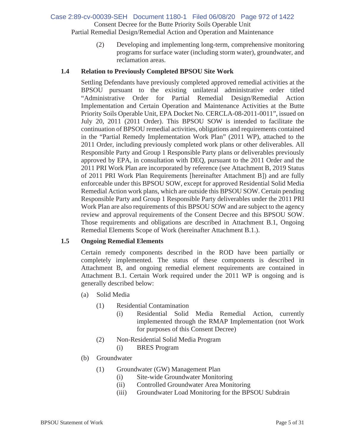### Consent Decree for the Butte Priority Soils Operable Unit Partial Remedial Design/Remedial Action and Operation and Maintenance Case 2:89-cv-00039-SEH Document 1180-1 Filed 06/08/20 Page 972 of 1422

(2) Developing and implementing long-term, comprehensive monitoring programs for surface water (including storm water), groundwater, and

### **1.4 Relation to Previously Completed BPSOU Site Work**

reclamation areas.

Settling Defendants have previously completed approved remedial activities at the BPSOU pursuant to the existing unilateral administrative order titled "Administrative Order for Partial Remedial Design/Remedial Action Implementation and Certain Operation and Maintenance Activities at the Butte Priority Soils Operable Unit, EPA Docket No. CERCLA-08-2011-0011", issued on July 20, 2011 (2011 Order). This BPSOU SOW is intended to facilitate the continuation of BPSOU remedial activities, obligations and requirements contained in the "Partial Remedy Implementation Work Plan" (2011 WP), attached to the 2011 Order, including previously completed work plans or other deliverables. All Responsible Party and Group 1 Responsible Party plans or deliverables previously approved by EPA, in consultation with DEQ, pursuant to the 2011 Order and the 2011 PRI Work Plan are incorporated by reference (see Attachment B, 2019 Status of 2011 PRI Work Plan Requirements [hereinafter Attachment B]) and are fully enforceable under this BPSOU SOW, except for approved Residential Solid Media Remedial Action work plans, which are outside this BPSOU SOW. Certain pending Responsible Party and Group 1 Responsible Party deliverables under the 2011 PRI Work Plan are also requirements of this BPSOU SOW and are subject to the agency review and approval requirements of the Consent Decree and this BPSOU SOW. Those requirements and obligations are described in Attachment B.1, Ongoing Remedial Elements Scope of Work (hereinafter Attachment B.1.).

### **1.5 Ongoing Remedial Elements**

Certain remedy components described in the ROD have been partially or completely implemented. The status of these components is described in Attachment B, and ongoing remedial element requirements are contained in Attachment B.1. Certain Work required under the 2011 WP is ongoing and is generally described below:

- (a) Solid Media
	- (1) Residential Contamination
		- (i) Residential Solid Media Remedial Action, currently implemented through the RMAP Implementation (not Work for purposes of this Consent Decree)
	- (2) Non-Residential Solid Media Program
		- (i) BRES Program
- (b) Groundwater
	- (1) Groundwater (GW) Management Plan
		- (i) Site-wide Groundwater Monitoring
		- (ii) Controlled Groundwater Area Monitoring
		- (iii) Groundwater Load Monitoring for the BPSOU Subdrain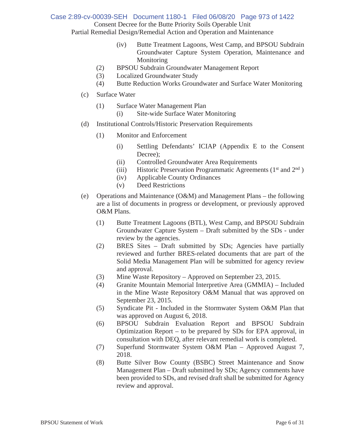Consent Decree for the Butte Priority Soils Operable Unit Partial Remedial Design/Remedial Action and Operation and Maintenance Case 2:89-cv-00039-SEH Document 1180-1 Filed 06/08/20 Page 973 of 1422

(iv) Butte Treatment Lagoons, West Camp, and BPSOU Subdrain

- Groundwater Capture System Operation, Maintenance and Monitoring
- (2) BPSOU Subdrain Groundwater Management Report
- (3) Localized Groundwater Study
- (4) Butte Reduction Works Groundwater and Surface Water Monitoring
- (c) Surface Water
	- (1) Surface Water Management Plan
		- (i) Site-wide Surface Water Monitoring
- (d) Institutional Controls/Historic Preservation Requirements
	- (1) Monitor and Enforcement
		- (i) Settling Defendants' ICIAP (Appendix E to the Consent Decree);
		- (ii) Controlled Groundwater Area Requirements
		- (iii) Historic Preservation Programmatic Agreements ( $1<sup>st</sup>$  and  $2<sup>nd</sup>$ )
		- (iv) Applicable County Ordinances
		- (v) Deed Restrictions
- (e) Operations and Maintenance (O&M) and Management Plans the following are a list of documents in progress or development, or previously approved O&M Plans.
	- (1) Butte Treatment Lagoons (BTL), West Camp, and BPSOU Subdrain Groundwater Capture System – Draft submitted by the SDs - under review by the agencies.
	- (2) BRES Sites Draft submitted by SDs; Agencies have partially reviewed and further BRES-related documents that are part of the Solid Media Management Plan will be submitted for agency review and approval.
	- (3) Mine Waste Repository Approved on September 23, 2015.
	- (4) Granite Mountain Memorial Interpretive Area (GMMIA) Included in the Mine Waste Repository O&M Manual that was approved on September 23, 2015.
	- (5) Syndicate Pit Included in the Stormwater System O&M Plan that was approved on August 6, 2018.
	- (6) BPSOU Subdrain Evaluation Report and BPSOU Subdrain Optimization Report – to be prepared by SDs for EPA approval, in consultation with DEQ, after relevant remedial work is completed.
	- (7) Superfund Stormwater System O&M Plan Approved August 7, 2018.
	- (8) Butte Silver Bow County (BSBC) Street Maintenance and Snow Management Plan – Draft submitted by SDs; Agency comments have been provided to SDs, and revised draft shall be submitted for Agency review and approval.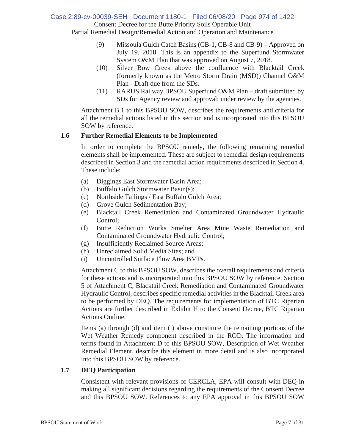### Consent Decree for the Butte Priority Soils Operable Unit Partial Remedial Design/Remedial Action and Operation and Maintenance Case 2:89-cv-00039-SEH Document 1180-1 Filed 06/08/20 Page 974 of 1422

(9) Missoula Gulch Catch Basins (CB-1, CB-8 and CB-9) – Approved on July 19, 2018. This is an appendix to the Superfund Stormwater System O&M Plan that was approved on August 7, 2018.

- (10) Silver Bow Creek above the confluence with Blacktail Creek (formerly known as the Metro Storm Drain (MSD)) Channel O&M Plan - Draft due from the SDs.
- (11) RARUS Railway BPSOU Superfund O&M Plan draft submitted by SDs for Agency review and approval; under review by the agencies.

Attachment B.1 to this BPSOU SOW, describes the requirements and criteria for all the remedial actions listed in this section and is incorporated into this BPSOU SOW by reference.

### **1.6 Further Remedial Elements to be Implemented**

In order to complete the BPSOU remedy, the following remaining remedial elements shall be implemented. These are subject to remedial design requirements described in Section 3 and the remedial action requirements described in Section 4. These include:

- (a) Diggings East Stormwater Basin Area;
- (b) Buffalo Gulch Stormwater Basin(s);
- (c) Northside Tailings / East Buffalo Gulch Area;
- (d) Grove Gulch Sedimentation Bay;
- (e) Blacktail Creek Remediation and Contaminated Groundwater Hydraulic Control;
- (f) Butte Reduction Works Smelter Area Mine Waste Remediation and Contaminated Groundwater Hydraulic Control;
- (g) Insufficiently Reclaimed Source Areas;
- (h) Unreclaimed Solid Media Sites; and
- (i) Uncontrolled Surface Flow Area BMPs.

Attachment C to this BPSOU SOW, describes the overall requirements and criteria for these actions and is incorporated into this BPSOU SOW by reference. Section 5 of Attachment C, Blacktail Creek Remediation and Contaminated Groundwater Hydraulic Control, describes specific remedial activities in the Blacktail Creek area to be performed by DEQ. The requirements for implementation of BTC Riparian Actions are further described in Exhibit H to the Consent Decree, BTC Riparian Actions Outline.

Items (a) through (d) and item (i) above constitute the remaining portions of the Wet Weather Remedy component described in the ROD. The information and terms found in Attachment D to this BPSOU SOW, Description of Wet Weather Remedial Element, describe this element in more detail and is also incorporated into this BPSOU SOW by reference.

### **1.7 DEQ Participation**

Consistent with relevant provisions of CERCLA, EPA will consult with DEQ in making all significant decisions regarding the requirements of the Consent Decree and this BPSOU SOW. References to any EPA approval in this BPSOU SOW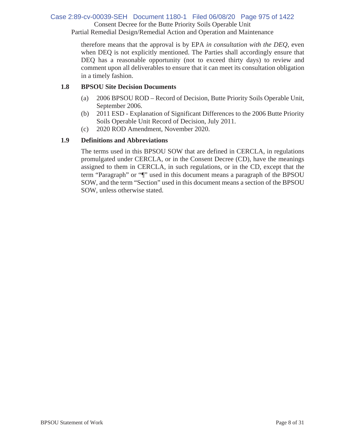### Consent Decree for the Butte Priority Soils Operable Unit Case 2:89-cv-00039-SEH Document 1180-1 Filed 06/08/20 Page 975 of 1422

Partial Remedial Design/Remedial Action and Operation and Maintenance

therefore means that the approval is by EPA *in consultation with the DEQ*, even when DEQ is not explicitly mentioned. The Parties shall accordingly ensure that DEQ has a reasonable opportunity (not to exceed thirty days) to review and comment upon all deliverables to ensure that it can meet its consultation obligation in a timely fashion.

### **1.8 BPSOU Site Decision Documents**

- (a) 2006 BPSOU ROD Record of Decision, Butte Priority Soils Operable Unit, September 2006.
- (b) 2011 ESD Explanation of Significant Differences to the 2006 Butte Priority Soils Operable Unit Record of Decision, July 2011.
- (c) 2020 ROD Amendment, November 2020.

### **1.9 Definitions and Abbreviations**

The terms used in this BPSOU SOW that are defined in CERCLA, in regulations promulgated under CERCLA, or in the Consent Decree (CD), have the meanings assigned to them in CERCLA, in such regulations, or in the CD, except that the term "Paragraph" or "¶" used in this document means a paragraph of the BPSOU SOW, and the term "Section" used in this document means a section of the BPSOU SOW, unless otherwise stated.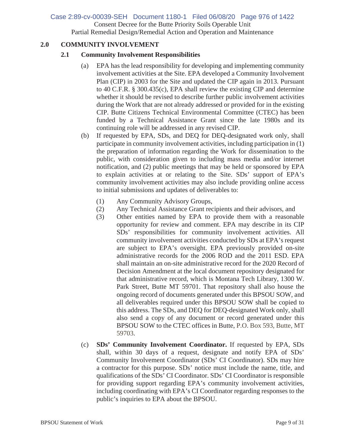## Case 2:89-cv-00039-SEH Document 1180-1 Filed 06/08/20 Page 976 of 1422

Consent Decree for the Butte Priority Soils Operable Unit

Partial Remedial Design/Remedial Action and Operation and Maintenance

### **2.0 COMMUNITY INVOLVEMENT**

### **2.1 Community Involvement Responsibilities**

- (a) EPA has the lead responsibility for developing and implementing community involvement activities at the Site. EPA developed a Community Involvement Plan (CIP) in 2003 for the Site and updated the CIP again in 2013. Pursuant to 40 C.F.R. § 300.435(c), EPA shall review the existing CIP and determine whether it should be revised to describe further public involvement activities during the Work that are not already addressed or provided for in the existing CIP. Butte Citizens Technical Environmental Committee (CTEC) has been funded by a Technical Assistance Grant since the late 1980s and its continuing role will be addressed in any revised CIP.
- (b) If requested by EPA, SDs, and DEQ for DEQ-designated work only, shall participate in community involvement activities, including participation in (1) the preparation of information regarding the Work for dissemination to the public, with consideration given to including mass media and/or internet notification, and (2) public meetings that may be held or sponsored by EPA to explain activities at or relating to the Site. SDs' support of EPA's community involvement activities may also include providing online access to initial submissions and updates of deliverables to:
	- (1) Any Community Advisory Groups,
	- (2) Any Technical Assistance Grant recipients and their advisors, and
	- (3) Other entities named by EPA to provide them with a reasonable opportunity for review and comment. EPA may describe in its CIP SDs' responsibilities for community involvement activities. All community involvement activities conducted by SDs at EPA's request are subject to EPA's oversight. EPA previously provided on-site administrative records for the 2006 ROD and the 2011 ESD. EPA shall maintain an on-site administrative record for the 2020 Record of Decision Amendment at the local document repository designated for that administrative record, which is Montana Tech Library, 1300 W. Park Street, Butte MT 59701. That repository shall also house the ongoing record of documents generated under this BPSOU SOW, and all deliverables required under this BPSOU SOW shall be copied to this address. The SDs, and DEQ for DEQ-designated Work only, shall also send a copy of any document or record generated under this BPSOU SOW to the CTEC offices in Butte, P.O. Box 593, Butte, MT 59703.
- (c) **SDs' Community Involvement Coordinator.** If requested by EPA, SDs shall, within 30 days of a request, designate and notify EPA of SDs' Community Involvement Coordinator (SDs' CI Coordinator). SDs may hire a contractor for this purpose. SDs' notice must include the name, title, and qualifications of the SDs' CI Coordinator. SDs' CI Coordinator is responsible for providing support regarding EPA's community involvement activities, including coordinating with EPA's CI Coordinator regarding responses to the public's inquiries to EPA about the BPSOU.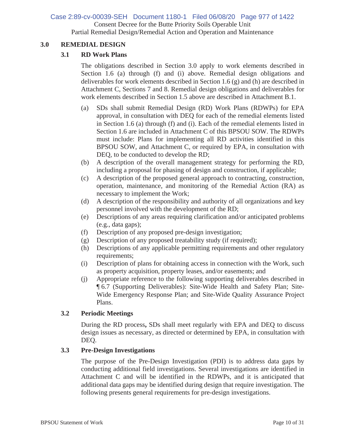### Consent Decree for the Butte Priority Soils Operable Unit Case 2:89-cv-00039-SEH Document 1180-1 Filed 06/08/20 Page 977 of 1422

Partial Remedial Design/Remedial Action and Operation and Maintenance

### **3.0 REMEDIAL DESIGN**

### **3.1 RD Work Plans**

The obligations described in Section 3.0 apply to work elements described in Section 1.6 (a) through (f) and (i) above. Remedial design obligations and deliverables for work elements described in Section 1.6 (g) and (h) are described in Attachment C, Sections 7 and 8. Remedial design obligations and deliverables for work elements described in Section 1.5 above are described in Attachment B.1.

- (a) SDs shall submit Remedial Design (RD) Work Plans (RDWPs) for EPA approval, in consultation with DEQ for each of the remedial elements listed in Section 1.6 (a) through (f) and (i). Each of the remedial elements listed in Section 1.6 are included in Attachment C of this BPSOU SOW. The RDWPs must include: Plans for implementing all RD activities identified in this BPSOU SOW, and Attachment C, or required by EPA, in consultation with DEQ, to be conducted to develop the RD;
- (b) A description of the overall management strategy for performing the RD, including a proposal for phasing of design and construction, if applicable;
- (c) A description of the proposed general approach to contracting, construction, operation, maintenance, and monitoring of the Remedial Action (RA) as necessary to implement the Work;
- (d) A description of the responsibility and authority of all organizations and key personnel involved with the development of the RD;
- (e) Descriptions of any areas requiring clarification and/or anticipated problems (e.g., data gaps);
- (f) Description of any proposed pre-design investigation;
- (g) Description of any proposed treatability study (if required);
- (h) Descriptions of any applicable permitting requirements and other regulatory requirements;
- (i) Description of plans for obtaining access in connection with the Work, such as property acquisition, property leases, and/or easements; and
- (j) Appropriate reference to the following supporting deliverables described in ¶ 6.7 (Supporting Deliverables): Site-Wide Health and Safety Plan; Site-Wide Emergency Response Plan; and Site-Wide Quality Assurance Project Plans.

### **3.2 Periodic Meetings**

During the RD process**,** SDs shall meet regularly with EPA and DEQ to discuss design issues as necessary, as directed or determined by EPA, in consultation with DEQ.

### **3.3 Pre-Design Investigations**

The purpose of the Pre-Design Investigation (PDI) is to address data gaps by conducting additional field investigations. Several investigations are identified in Attachment C and will be identified in the RDWPs, and it is anticipated that additional data gaps may be identified during design that require investigation. The following presents general requirements for pre-design investigations.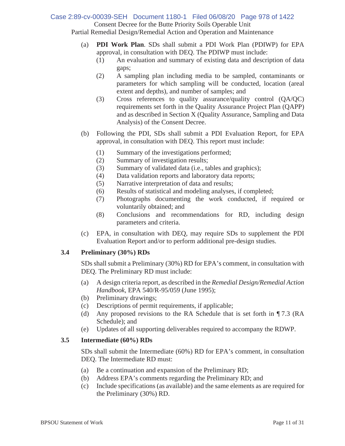### Case 2:89-cv-00039-SEH Document 1180-1 Filed 06/08/20 Page 978 of 1422

Consent Decree for the Butte Priority Soils Operable Unit

Partial Remedial Design/Remedial Action and Operation and Maintenance

- (a) **PDI Work Plan**. SDs shall submit a PDI Work Plan (PDIWP) for EPA approval, in consultation with DEQ. The PDIWP must include:
	- (1) An evaluation and summary of existing data and description of data gaps;
	- (2) A sampling plan including media to be sampled, contaminants or parameters for which sampling will be conducted, location (areal extent and depths), and number of samples; and
	- (3) Cross references to quality assurance/quality control (QA/QC) requirements set forth in the Quality Assurance Project Plan (QAPP) and as described in Section X (Quality Assurance, Sampling and Data Analysis) of the Consent Decree.
- (b) Following the PDI, SDs shall submit a PDI Evaluation Report, for EPA approval, in consultation with DEQ. This report must include:
	- (1) Summary of the investigations performed;
	- (2) Summary of investigation results;
	- (3) Summary of validated data (i.e., tables and graphics);
	- (4) Data validation reports and laboratory data reports;
	- (5) Narrative interpretation of data and results;
	- (6) Results of statistical and modeling analyses, if completed;
	- (7) Photographs documenting the work conducted, if required or voluntarily obtained; and
	- (8) Conclusions and recommendations for RD, including design parameters and criteria.
- (c) EPA, in consultation with DEQ, may require SDs to supplement the PDI Evaluation Report and/or to perform additional pre-design studies.

### **3.4 Preliminary (30%) RDs**

SDs shall submit a Preliminary (30%) RD for EPA's comment, in consultation with DEQ. The Preliminary RD must include:

- (a) A design criteria report, as described in the *Remedial Design/Remedial Action Handbook*, EPA 540/R-95/059 (June 1995);
- (b) Preliminary drawings;
- (c) Descriptions of permit requirements, if applicable;
- (d) Any proposed revisions to the RA Schedule that is set forth in ¶ 7.3 (RA Schedule); and
- (e) Updates of all supporting deliverables required to accompany the RDWP.

### **3.5 Intermediate (60%) RDs**

SDs shall submit the Intermediate (60%) RD for EPA's comment, in consultation DEQ. The Intermediate RD must:

- (a) Be a continuation and expansion of the Preliminary RD;
- (b) Address EPA's comments regarding the Preliminary RD; and
- (c) Include specifications (as available) and the same elements as are required for the Preliminary (30%) RD.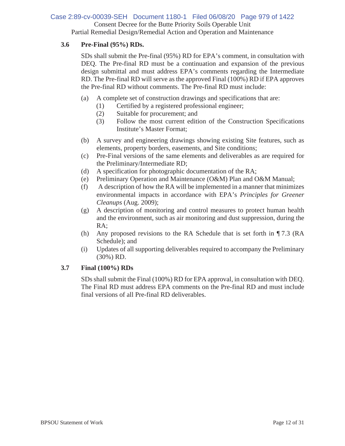### Case 2:89-cv-00039-SEH Document 1180-1 Filed 06/08/20 Page 979 of 1422

Consent Decree for the Butte Priority Soils Operable Unit

Partial Remedial Design/Remedial Action and Operation and Maintenance

### **3.6 Pre-Final (95%) RDs.**

SDs shall submit the Pre-final (95%) RD for EPA's comment, in consultation with DEQ. The Pre-final RD must be a continuation and expansion of the previous design submittal and must address EPA's comments regarding the Intermediate RD. The Pre-final RD will serve as the approved Final (100%) RD if EPA approves the Pre-final RD without comments. The Pre-final RD must include:

- (a) A complete set of construction drawings and specifications that are:
	- (1) Certified by a registered professional engineer;
	- (2) Suitable for procurement; and
	- (3) Follow the most current edition of the Construction Specifications Institute's Master Format;
- (b) A survey and engineering drawings showing existing Site features, such as elements, property borders, easements, and Site conditions;
- (c) Pre-Final versions of the same elements and deliverables as are required for the Preliminary/Intermediate RD;
- (d) A specification for photographic documentation of the RA;
- (e) Preliminary Operation and Maintenance (O&M) Plan and O&M Manual;
- (f) A description of how the RA will be implemented in a manner that minimizes environmental impacts in accordance with EPA's *Principles for Greener Cleanups* (Aug. 2009);
- (g) A description of monitoring and control measures to protect human health and the environment, such as air monitoring and dust suppression, during the RA;
- (h) Any proposed revisions to the RA Schedule that is set forth in  $\P$ 7.3 (RA Schedule); and
- (i) Updates of all supporting deliverables required to accompany the Preliminary (30%) RD.

### **3.7 Final (100%) RDs**

SDs shall submit the Final (100%) RD for EPA approval, in consultation with DEQ. The Final RD must address EPA comments on the Pre-final RD and must include final versions of all Pre-final RD deliverables.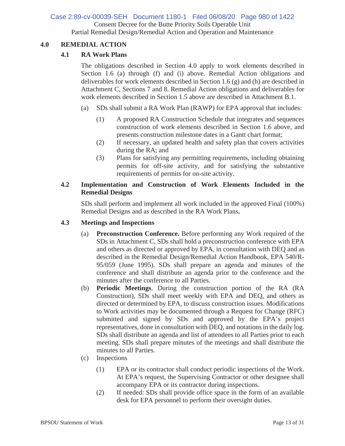### Consent Decree for the Butte Priority Soils Operable Unit Partial Remedial Design/Remedial Action and Operation and Maintenance Case 2:89-cv-00039-SEH Document 1180-1 Filed 06/08/20 Page 980 of 1422

### **4.0 REMEDIAL ACTION**

### **4.1 RA Work Plans**

The obligations described in Section 4.0 apply to work elements described in Section 1.6 (a) through (f) and (i) above. Remedial Action obligations and deliverables for work elements described in Section 1.6 (g) and (h) are described in Attachment C, Sections 7 and 8. Remedial Action obligations and deliverables for work elements described in Section 1.5 above are described in Attachment B.1.

- (a) SDs shall submit a RA Work Plan (RAWP) for EPA approval that includes:
	- (1) A proposed RA Construction Schedule that integrates and sequences construction of work elements described in Section 1.6 above, and presents construction milestone dates in a Gantt chart format;
	- (2) If necessary, an updated health and safety plan that covers activities during the RA; and
	- (3) Plans for satisfying any permitting requirements, including obtaining permits for off-site activity, and for satisfying the substantive requirements of permits for on-site activity.

### **4.2 Implementation and Construction of Work Elements Included in the Remedial Designs**

SDs shall perform and implement all work included in the approved Final (100%) Remedial Designs and as described in the RA Work Plans**.**

### **4.3 Meetings and Inspections**

- (a) **Preconstruction Conference.** Before performing any Work required of the SDs in Attachment C, SDs shall hold a preconstruction conference with EPA and others as directed or approved by EPA, in consultation with DEQ and as described in the Remedial Design/Remedial Action Handbook, EPA 540/R-95/059 (June 1995). SDs shall prepare an agenda and minutes of the conference and shall distribute an agenda prior to the conference and the minutes after the conference to all Parties.
- (b) **Periodic Meetings**. During the construction portion of the RA (RA Construction), SDs shall meet weekly with EPA and DEQ, and others as directed or determined by EPA, to discuss construction issues. Modifications to Work activities may be documented through a Request for Change (RFC) submitted and signed by SDs and approved by the EPA's project representatives, done in consultation with DEQ, and notations in the daily log. SDs shall distribute an agenda and list of attendees to all Parties prior to each meeting. SDs shall prepare minutes of the meetings and shall distribute the minutes to all Parties.
- (c) Inspections
	- (1) EPA or its contractor shall conduct periodic inspections of the Work. At EPA's request, the Supervising Contractor or other designee shall accompany EPA or its contractor during inspections.
	- (2) If needed: SDs shall provide office space in the form of an available desk for EPA personnel to perform their oversight duties.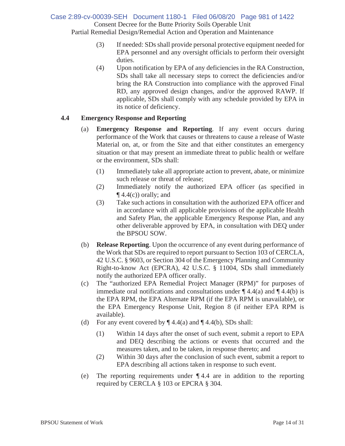Consent Decree for the Butte Priority Soils Operable Unit Partial Remedial Design/Remedial Action and Operation and Maintenance Case 2:89-cv-00039-SEH Document 1180-1 Filed 06/08/20 Page 981 of 1422

- (3) If needed: SDs shall provide personal protective equipment needed for EPA personnel and any oversight officials to perform their oversight duties.
- (4) Upon notification by EPA of any deficiencies in the RA Construction, SDs shall take all necessary steps to correct the deficiencies and/or bring the RA Construction into compliance with the approved Final RD, any approved design changes, and/or the approved RAWP. If applicable, SDs shall comply with any schedule provided by EPA in its notice of deficiency.

### **4.4 Emergency Response and Reporting**

- (a) **Emergency Response and Reporting**. If any event occurs during performance of the Work that causes or threatens to cause a release of Waste Material on, at, or from the Site and that either constitutes an emergency situation or that may present an immediate threat to public health or welfare or the environment, SDs shall:
	- (1) Immediately take all appropriate action to prevent, abate, or minimize such release or threat of release;
	- (2) Immediately notify the authorized EPA officer (as specified in  $\P$  4.4(c)) orally; and
	- (3) Take such actions in consultation with the authorized EPA officer and in accordance with all applicable provisions of the applicable Health and Safety Plan, the applicable Emergency Response Plan, and any other deliverable approved by EPA, in consultation with DEQ under the BPSOU SOW.
- (b) **Release Reporting**. Upon the occurrence of any event during performance of the Work that SDs are required to report pursuant to Section 103 of CERCLA, 42 U.S.C. § 9603, or Section 304 of the Emergency Planning and Community Right-to-know Act (EPCRA), 42 U.S.C. § 11004, SDs shall immediately notify the authorized EPA officer orally.
- (c) The "authorized EPA Remedial Project Manager (RPM)" for purposes of immediate oral notifications and consultations under  $\P$  4.4(a) and  $\P$  4.4(b) is the EPA RPM, the EPA Alternate RPM (if the EPA RPM is unavailable), or the EPA Emergency Response Unit, Region 8 (if neither EPA RPM is available).
- (d) For any event covered by  $\P$  4.4(a) and  $\P$  4.4(b), SDs shall:
	- (1) Within 14 days after the onset of such event, submit a report to EPA and DEQ describing the actions or events that occurred and the measures taken, and to be taken, in response thereto; and
	- (2) Within 30 days after the conclusion of such event, submit a report to EPA describing all actions taken in response to such event.
- (e) The reporting requirements under ¶ 4.4 are in addition to the reporting required by CERCLA § 103 or EPCRA § 304.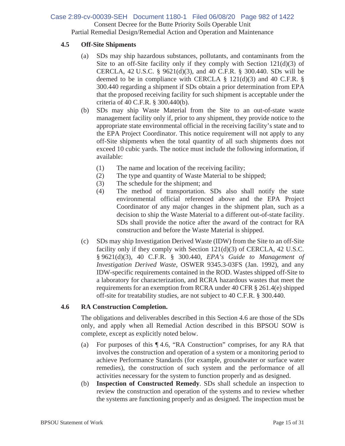### Consent Decree for the Butte Priority Soils Operable Unit Partial Remedial Design/Remedial Action and Operation and Maintenance Case 2:89-cv-00039-SEH Document 1180-1 Filed 06/08/20 Page 982 of 1422

### **4.5 Off-Site Shipments**

- (a) SDs may ship hazardous substances, pollutants, and contaminants from the Site to an off-Site facility only if they comply with Section  $121(d)(3)$  of CERCLA, 42 U.S.C. § 9621(d)(3), and 40 C.F.R. § 300.440. SDs will be deemed to be in compliance with CERCLA  $\S$  121(d)(3) and 40 C.F.R.  $\S$ 300.440 regarding a shipment if SDs obtain a prior determination from EPA that the proposed receiving facility for such shipment is acceptable under the criteria of 40 C.F.R. § 300.440(b).
- (b) SDs may ship Waste Material from the Site to an out-of-state waste management facility only if, prior to any shipment, they provide notice to the appropriate state environmental official in the receiving facility's state and to the EPA Project Coordinator. This notice requirement will not apply to any off-Site shipments when the total quantity of all such shipments does not exceed 10 cubic yards. The notice must include the following information, if available:
	- (1) The name and location of the receiving facility;
	- (2) The type and quantity of Waste Material to be shipped;
	- (3) The schedule for the shipment; and
	- (4) The method of transportation. SDs also shall notify the state environmental official referenced above and the EPA Project Coordinator of any major changes in the shipment plan, such as a decision to ship the Waste Material to a different out-of-state facility. SDs shall provide the notice after the award of the contract for RA construction and before the Waste Material is shipped.
- (c) SDs may ship Investigation Derived Waste (IDW) from the Site to an off-Site facility only if they comply with Section 121(d)(3) of CERCLA, 42 U.S.C. § 9621(d)(3), 40 C.F.R. § 300.440, *EPA's Guide to Management of Investigation Derived Waste*, OSWER 9345.3-03FS (Jan. 1992), and any IDW-specific requirements contained in the ROD. Wastes shipped off-Site to a laboratory for characterization, and RCRA hazardous wastes that meet the requirements for an exemption from RCRA under 40 CFR § 261.4(e) shipped off-site for treatability studies, are not subject to 40 C.F.R. § 300.440.

### **4.6 RA Construction Completion.**

The obligations and deliverables described in this Section 4.6 are those of the SDs only, and apply when all Remedial Action described in this BPSOU SOW is complete, except as explicitly noted below.

- (a) For purposes of this ¶ 4.6, "RA Construction" comprises, for any RA that involves the construction and operation of a system or a monitoring period to achieve Performance Standards (for example, groundwater or surface water remedies), the construction of such system and the performance of all activities necessary for the system to function properly and as designed.
- (b) **Inspection of Constructed Remedy**. SDs shall schedule an inspection to review the construction and operation of the systems and to review whether the systems are functioning properly and as designed. The inspection must be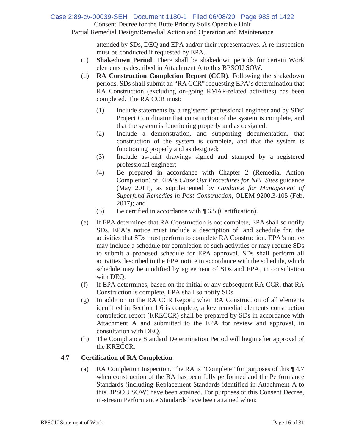Consent Decree for the Butte Priority Soils Operable Unit Case 2:89-cv-00039-SEH Document 1180-1 Filed 06/08/20 Page 983 of 1422

Partial Remedial Design/Remedial Action and Operation and Maintenance

attended by SDs, DEQ and EPA and/or their representatives. A re-inspection must be conducted if requested by EPA.

- (c) **Shakedown Period**. There shall be shakedown periods for certain Work elements as described in Attachment A to this BPSOU SOW.
- (d) **RA Construction Completion Report (CCR)**. Following the shakedown periods, SDs shall submit an "RA CCR" requesting EPA's determination that RA Construction (excluding on-going RMAP-related activities) has been completed. The RA CCR must:
	- (1) Include statements by a registered professional engineer and by SDs' Project Coordinator that construction of the system is complete, and that the system is functioning properly and as designed;
	- (2) Include a demonstration, and supporting documentation, that construction of the system is complete, and that the system is functioning properly and as designed;
	- (3) Include as-built drawings signed and stamped by a registered professional engineer;
	- (4) Be prepared in accordance with Chapter 2 (Remedial Action Completion) of EPA's *Close Out Procedures for NPL Sites* guidance (May 2011), as supplemented by *Guidance for Management of Superfund Remedies in Post Construction*, OLEM 9200.3-105 (Feb. 2017); and
	- (5) Be certified in accordance with ¶ 6.5 (Certification).
- (e) If EPA determines that RA Construction is not complete, EPA shall so notify SDs. EPA's notice must include a description of, and schedule for, the activities that SDs must perform to complete RA Construction. EPA's notice may include a schedule for completion of such activities or may require SDs to submit a proposed schedule for EPA approval. SDs shall perform all activities described in the EPA notice in accordance with the schedule, which schedule may be modified by agreement of SDs and EPA, in consultation with DEQ.
- (f) If EPA determines, based on the initial or any subsequent RA CCR, that RA Construction is complete, EPA shall so notify SDs.
- (g) In addition to the RA CCR Report, when RA Construction of all elements identified in Section 1.6 is complete, a key remedial elements construction completion report (KRECCR) shall be prepared by SDs in accordance with Attachment A and submitted to the EPA for review and approval, in consultation with DEQ.
- (h) The Compliance Standard Determination Period will begin after approval of the KRECCR.

### **4.7 Certification of RA Completion**

(a) RA Completion Inspection. The RA is "Complete" for purposes of this ¶ 4.7 when construction of the RA has been fully performed and the Performance Standards (including Replacement Standards identified in Attachment A to this BPSOU SOW) have been attained. For purposes of this Consent Decree, in-stream Performance Standards have been attained when: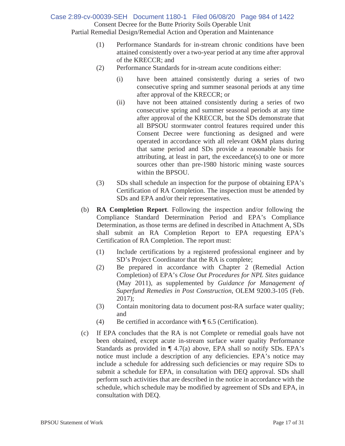Consent Decree for the Butte Priority Soils Operable Unit Partial Remedial Design/Remedial Action and Operation and Maintenance Case 2:89-cv-00039-SEH Document 1180-1 Filed 06/08/20 Page 984 of 1422

- (1) Performance Standards for in-stream chronic conditions have been attained consistently over a two-year period at any time after approval of the KRECCR; and
- (2) Performance Standards for in-stream acute conditions either:
	- (i) have been attained consistently during a series of two consecutive spring and summer seasonal periods at any time after approval of the KRECCR; or
	- (ii) have not been attained consistently during a series of two consecutive spring and summer seasonal periods at any time after approval of the KRECCR, but the SDs demonstrate that all BPSOU stormwater control features required under this Consent Decree were functioning as designed and were operated in accordance with all relevant O&M plans during that same period and SDs provide a reasonable basis for attributing, at least in part, the exceedance(s) to one or more sources other than pre-1980 historic mining waste sources within the BPSOU.
- (3) SDs shall schedule an inspection for the purpose of obtaining EPA's Certification of RA Completion. The inspection must be attended by SDs and EPA and/or their representatives.
- (b) **RA Completion Report**. Following the inspection and/or following the Compliance Standard Determination Period and EPA's Compliance Determination, as those terms are defined in described in Attachment A, SDs shall submit an RA Completion Report to EPA requesting EPA's Certification of RA Completion. The report must:
	- (1) Include certifications by a registered professional engineer and by SD's Project Coordinator that the RA is complete;
	- (2) Be prepared in accordance with Chapter 2 (Remedial Action Completion) of EPA's *Close Out Procedures for NPL Sites* guidance (May 2011), as supplemented by *Guidance for Management of Superfund Remedies in Post Construction*, OLEM 9200.3-105 (Feb. 2017);
	- (3) Contain monitoring data to document post-RA surface water quality; and
	- (4) Be certified in accordance with ¶ 6.5 (Certification).
- (c) If EPA concludes that the RA is not Complete or remedial goals have not been obtained, except acute in-stream surface water quality Performance Standards as provided in  $\P$  4.7(a) above, EPA shall so notify SDs. EPA's notice must include a description of any deficiencies. EPA's notice may include a schedule for addressing such deficiencies or may require SDs to submit a schedule for EPA, in consultation with DEQ approval. SDs shall perform such activities that are described in the notice in accordance with the schedule, which schedule may be modified by agreement of SDs and EPA, in consultation with DEQ.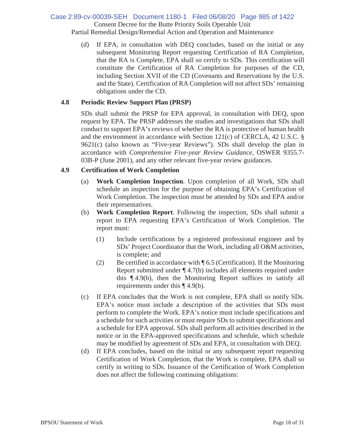### Consent Decree for the Butte Priority Soils Operable Unit Partial Remedial Design/Remedial Action and Operation and Maintenance Case 2:89-cv-00039-SEH Document 1180-1 Filed 06/08/20 Page 985 of 1422

(d) If EPA, in consultation with DEQ concludes, based on the initial or any subsequent Monitoring Report requesting Certification of RA Completion, that the RA is Complete, EPA shall so certify to SDs. This certification will constitute the Certification of RA Completion for purposes of the CD, including Section XVII of the CD (Covenants and Reservations by the U.S. and the State). Certification of RA Completion will not affect SDs' remaining obligations under the CD.

### **4.8 Periodic Review Support Plan (PRSP)**

SDs shall submit the PRSP for EPA approval, in consultation with DEQ, upon request by EPA. The PRSP addresses the studies and investigations that SDs shall conduct to support EPA's reviews of whether the RA is protective of human health and the environment in accordance with Section 121(c) of CERCLA, 42 U.S.C. § 9621(c) (also known as "Five-year Reviews"). SDs shall develop the plan in accordance with *Comprehensive Five-year Review Guidance*, OSWER 9355.7- 03B-P (June 2001), and any other relevant five-year review guidances.

### **4.9 Certification of Work Completion**

- (a) **Work Completion Inspection**. Upon completion of all Work, SDs shall schedule an inspection for the purpose of obtaining EPA's Certification of Work Completion. The inspection must be attended by SDs and EPA and/or their representatives.
- (b) **Work Completion Report**. Following the inspection, SDs shall submit a report to EPA requesting EPA's Certification of Work Completion. The report must:
	- (1) Include certifications by a registered professional engineer and by SDs' Project Coordinator that the Work, including all O&M activities, is complete; and
	- (2) Be certified in accordance with  $\P$  6.5 (Certification). If the Monitoring Report submitted under ¶ 4.7(b) includes all elements required under this ¶ 4.9(b), then the Monitoring Report suffices to satisfy all requirements under this ¶ 4.9(b).
- (c) If EPA concludes that the Work is not complete, EPA shall so notify SDs. EPA's notice must include a description of the activities that SDs must perform to complete the Work. EPA's notice must include specifications and a schedule for such activities or must require SDs to submit specifications and a schedule for EPA approval. SDs shall perform all activities described in the notice or in the EPA-approved specifications and schedule, which schedule may be modified by agreement of SDs and EPA, in consultation with DEQ.
- (d) If EPA concludes, based on the initial or any subsequent report requesting Certification of Work Completion, that the Work is complete, EPA shall so certify in writing to SDs. Issuance of the Certification of Work Completion does not affect the following continuing obligations: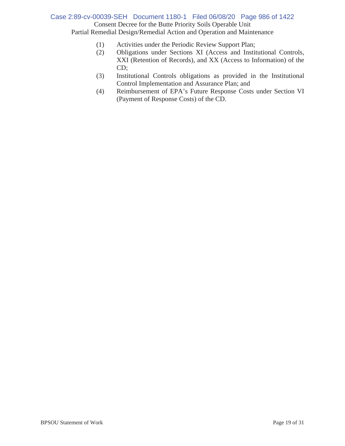### Consent Decree for the Butte Priority Soils Operable Unit Partial Remedial Design/Remedial Action and Operation and Maintenance Case 2:89-cv-00039-SEH Document 1180-1 Filed 06/08/20 Page 986 of 1422

- (1) Activities under the Periodic Review Support Plan;
- (2) Obligations under Sections XI (Access and Institutional Controls, XXI (Retention of Records), and XX (Access to Information) of the CD;
- (3) Institutional Controls obligations as provided in the Institutional Control Implementation and Assurance Plan; and
- (4) Reimbursement of EPA's Future Response Costs under Section VI (Payment of Response Costs) of the CD.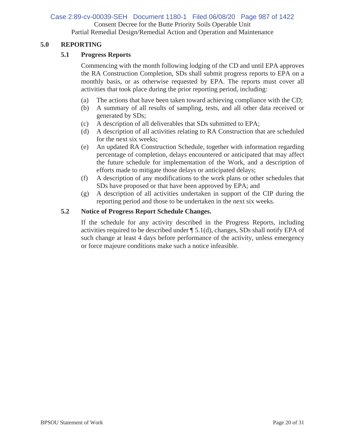Consent Decree for the Butte Priority Soils Operable Unit Partial Remedial Design/Remedial Action and Operation and Maintenance Case 2:89-cv-00039-SEH Document 1180-1 Filed 06/08/20 Page 987 of 1422

### **5.0 REPORTING**

### **5.1 Progress Reports**

Commencing with the month following lodging of the CD and until EPA approves the RA Construction Completion, SDs shall submit progress reports to EPA on a monthly basis, or as otherwise requested by EPA. The reports must cover all activities that took place during the prior reporting period, including:

- (a) The actions that have been taken toward achieving compliance with the CD;
- (b) A summary of all results of sampling, tests, and all other data received or generated by SDs;
- (c) A description of all deliverables that SDs submitted to EPA;
- (d) A description of all activities relating to RA Construction that are scheduled for the next six weeks;
- (e) An updated RA Construction Schedule, together with information regarding percentage of completion, delays encountered or anticipated that may affect the future schedule for implementation of the Work, and a description of efforts made to mitigate those delays or anticipated delays;
- (f) A description of any modifications to the work plans or other schedules that SDs have proposed or that have been approved by EPA; and
- (g) A description of all activities undertaken in support of the CIP during the reporting period and those to be undertaken in the next six weeks.

### **5.2 Notice of Progress Report Schedule Changes.**

If the schedule for any activity described in the Progress Reports, including activities required to be described under ¶ 5.1(d), changes, SDs shall notify EPA of such change at least 4 days before performance of the activity, unless emergency or force majeure conditions make such a notice infeasible.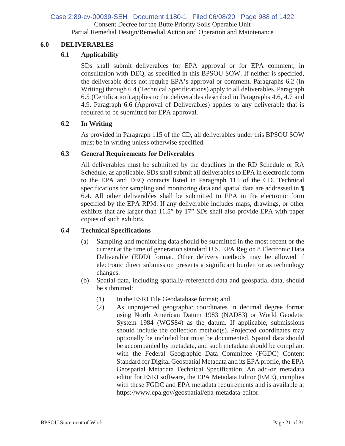### Consent Decree for the Butte Priority Soils Operable Unit Partial Remedial Design/Remedial Action and Operation and Maintenance Case 2:89-cv-00039-SEH Document 1180-1 Filed 06/08/20 Page 988 of 1422

### **6.0 DELIVERABLES**

### **6.1 Applicability**

SDs shall submit deliverables for EPA approval or for EPA comment, in consultation with DEQ, as specified in this BPSOU SOW. If neither is specified, the deliverable does not require EPA's approval or comment. Paragraphs 6.2 (In Writing) through 6.4 (Technical Specifications) apply to all deliverables. Paragraph 6.5 (Certification) applies to the deliverables described in Paragraphs 4.6, 4.7 and 4.9. Paragraph 6.6 (Approval of Deliverables) applies to any deliverable that is required to be submitted for EPA approval.

### **6.2 In Writing**

As provided in Paragraph 115 of the CD, all deliverables under this BPSOU SOW must be in writing unless otherwise specified.

### **6.3 General Requirements for Deliverables**

All deliverables must be submitted by the deadlines in the RD Schedule or RA Schedule, as applicable. SDs shall submit all deliverables to EPA in electronic form to the EPA and DEQ contacts listed in Paragraph 115 of the CD. Technical specifications for sampling and monitoring data and spatial data are addressed in **¶** 6.4. All other deliverables shall be submitted to EPA in the electronic form specified by the EPA RPM. If any deliverable includes maps, drawings, or other exhibits that are larger than 11.5" by 17" SDs shall also provide EPA with paper copies of such exhibits.

### **6.4 Technical Specifications**

- (a) Sampling and monitoring data should be submitted in the most recent or the current at the time of generation standard U.S. EPA Region 8 Electronic Data Deliverable (EDD) format. Other delivery methods may be allowed if electronic direct submission presents a significant burden or as technology changes.
- (b) Spatial data, including spatially-referenced data and geospatial data, should be submitted:
	- (1) In the ESRI File Geodatabase format; and
	- (2) As unprojected geographic coordinates in decimal degree format using North American Datum 1983 (NAD83) or World Geodetic System 1984 (WGS84) as the datum. If applicable, submissions should include the collection method(s). Projected coordinates may optionally be included but must be documented. Spatial data should be accompanied by metadata, and such metadata should be compliant with the Federal Geographic Data Committee (FGDC) Content Standard for Digital Geospatial Metadata and its EPA profile, the EPA Geospatial Metadata Technical Specification. An add-on metadata editor for ESRI software, the EPA Metadata Editor (EME), complies with these FGDC and EPA metadata requirements and is available at https://www.epa.gov/geospatial/epa-metadata-editor.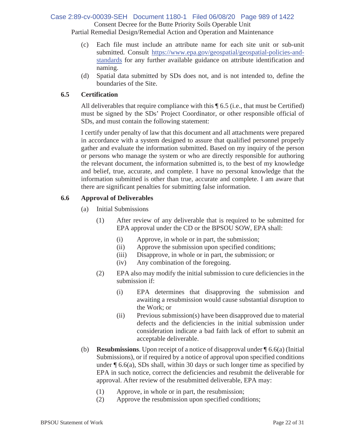### Consent Decree for the Butte Priority Soils Operable Unit Case 2:89-cv-00039-SEH Document 1180-1 Filed 06/08/20 Page 989 of 1422

Partial Remedial Design/Remedial Action and Operation and Maintenance

- (c) Each file must include an attribute name for each site unit or sub-unit submitted. Consult https://www.epa.gov/geospatial/geospatial-policies-andstandards for any further available guidance on attribute identification and naming.
- (d) Spatial data submitted by SDs does not, and is not intended to, define the boundaries of the Site.

### **6.5 Certification**

All deliverables that require compliance with this  $\P$  6.5 (i.e., that must be Certified) must be signed by the SDs' Project Coordinator, or other responsible official of SDs, and must contain the following statement:

I certify under penalty of law that this document and all attachments were prepared in accordance with a system designed to assure that qualified personnel properly gather and evaluate the information submitted. Based on my inquiry of the person or persons who manage the system or who are directly responsible for authoring the relevant document, the information submitted is, to the best of my knowledge and belief, true, accurate, and complete. I have no personal knowledge that the information submitted is other than true, accurate and complete. I am aware that there are significant penalties for submitting false information.

### **6.6 Approval of Deliverables**

- (a) Initial Submissions
	- (1) After review of any deliverable that is required to be submitted for EPA approval under the CD or the BPSOU SOW, EPA shall:
		- (i) Approve, in whole or in part, the submission;
		- (ii) Approve the submission upon specified conditions;
		- (iii) Disapprove, in whole or in part, the submission; or
		- (iv) Any combination of the foregoing.
	- (2) EPA also may modify the initial submission to cure deficiencies in the submission if:
		- (i) EPA determines that disapproving the submission and awaiting a resubmission would cause substantial disruption to the Work; or
		- (ii) Previous submission(s) have been disapproved due to material defects and the deficiencies in the initial submission under consideration indicate a bad faith lack of effort to submit an acceptable deliverable.
- (b) **Resubmissions**. Upon receipt of a notice of disapproval under ¶ 6.6(a) (Initial Submissions), or if required by a notice of approval upon specified conditions under  $\P$  6.6(a), SDs shall, within 30 days or such longer time as specified by EPA in such notice, correct the deficiencies and resubmit the deliverable for approval. After review of the resubmitted deliverable, EPA may:
	- (1) Approve, in whole or in part, the resubmission;
	- (2) Approve the resubmission upon specified conditions;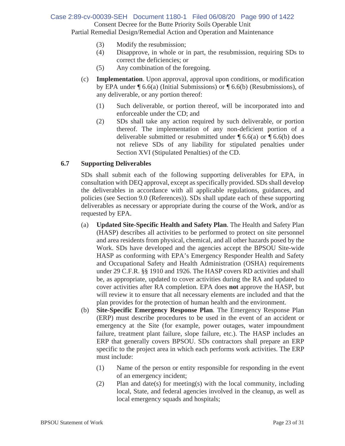### Consent Decree for the Butte Priority Soils Operable Unit Partial Remedial Design/Remedial Action and Operation and Maintenance Case 2:89-cv-00039-SEH Document 1180-1 Filed 06/08/20 Page 990 of 1422

- (3) Modify the resubmission;
	- (4) Disapprove, in whole or in part, the resubmission, requiring SDs to correct the deficiencies; or
	- (5) Any combination of the foregoing.
- (c) **Implementation**. Upon approval, approval upon conditions, or modification by EPA under ¶ 6.6(a) (Initial Submissions) or ¶ 6.6(b) (Resubmissions), of any deliverable, or any portion thereof:
	- (1) Such deliverable, or portion thereof, will be incorporated into and enforceable under the CD; and
	- (2) SDs shall take any action required by such deliverable, or portion thereof. The implementation of any non-deficient portion of a deliverable submitted or resubmitted under  $\P$  6.6(a) or  $\P$  6.6(b) does not relieve SDs of any liability for stipulated penalties under Section XVI (Stipulated Penalties) of the CD.

### **6.7 Supporting Deliverables**

SDs shall submit each of the following supporting deliverables for EPA, in consultation with DEQ approval, except as specifically provided. SDs shall develop the deliverables in accordance with all applicable regulations, guidances, and policies (see Section 9.0 (References)). SDs shall update each of these supporting deliverables as necessary or appropriate during the course of the Work, and/or as requested by EPA.

- (a) **Updated Site-Specific Health and Safety Plan**. The Health and Safety Plan (HASP) describes all activities to be performed to protect on site personnel and area residents from physical, chemical, and all other hazards posed by the Work. SDs have developed and the agencies accept the BPSOU Site-wide HASP as conforming with EPA's Emergency Responder Health and Safety and Occupational Safety and Health Administration (OSHA) requirements under 29 C.F.R. §§ 1910 and 1926. The HASP covers RD activities and shall be, as appropriate, updated to cover activities during the RA and updated to cover activities after RA completion. EPA does **not** approve the HASP, but will review it to ensure that all necessary elements are included and that the plan provides for the protection of human health and the environment.
- (b) **Site-Specific Emergency Response Plan**. The Emergency Response Plan (ERP) must describe procedures to be used in the event of an accident or emergency at the Site (for example, power outages, water impoundment failure, treatment plant failure, slope failure, etc.). The HASP includes an ERP that generally covers BPSOU. SDs contractors shall prepare an ERP specific to the project area in which each performs work activities. The ERP must include:
	- (1) Name of the person or entity responsible for responding in the event of an emergency incident;
	- (2) Plan and date(s) for meeting(s) with the local community, including local, State, and federal agencies involved in the cleanup, as well as local emergency squads and hospitals;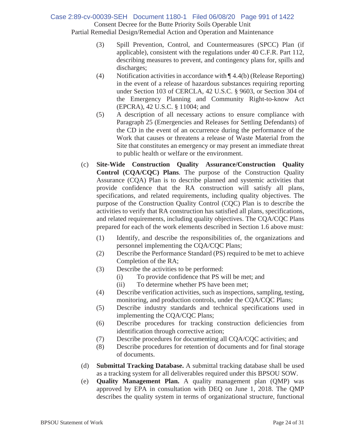### Consent Decree for the Butte Priority Soils Operable Unit Partial Remedial Design/Remedial Action and Operation and Maintenance Case 2:89-cv-00039-SEH Document 1180-1 Filed 06/08/20 Page 991 of 1422

- (3) Spill Prevention, Control, and Countermeasures (SPCC) Plan (if applicable), consistent with the regulations under 40 C.F.R. Part 112, describing measures to prevent, and contingency plans for, spills and discharges;
- (4) Notification activities in accordance with  $\P$  4.4(b) (Release Reporting) in the event of a release of hazardous substances requiring reporting under Section 103 of CERCLA, 42 U.S.C. § 9603, or Section 304 of the Emergency Planning and Community Right-to-know Act (EPCRA), 42 U.S.C. § 11004; and
- (5) A description of all necessary actions to ensure compliance with Paragraph 25 (Emergencies and Releases for Settling Defendants) of the CD in the event of an occurrence during the performance of the Work that causes or threatens a release of Waste Material from the Site that constitutes an emergency or may present an immediate threat to public health or welfare or the environment.
- (c) **Site-Wide Construction Quality Assurance/Construction Quality Control (CQA/CQC) Plans**. The purpose of the Construction Quality Assurance (CQA) Plan is to describe planned and systemic activities that provide confidence that the RA construction will satisfy all plans, specifications, and related requirements, including quality objectives. The purpose of the Construction Quality Control (CQC) Plan is to describe the activities to verify that RA construction has satisfied all plans, specifications, and related requirements, including quality objectives. The CQA/CQC Plans prepared for each of the work elements described in Section 1.6 above must:
	- (1) Identify, and describe the responsibilities of, the organizations and personnel implementing the CQA/CQC Plans;
	- (2) Describe the Performance Standard (PS) required to be met to achieve Completion of the RA;
	- (3) Describe the activities to be performed:
		- (i) To provide confidence that PS will be met; and
		- (ii) To determine whether PS have been met;
	- (4) Describe verification activities, such as inspections, sampling, testing, monitoring, and production controls, under the CQA/CQC Plans;
	- (5) Describe industry standards and technical specifications used in implementing the CQA/CQC Plans;
	- (6) Describe procedures for tracking construction deficiencies from identification through corrective action;
	- (7) Describe procedures for documenting all CQA/CQC activities; and
	- (8) Describe procedures for retention of documents and for final storage of documents.
- (d) **Submittal Tracking Database.** A submittal tracking database shall be used as a tracking system for all deliverables required under this BPSOU SOW.
- (e) **Quality Management Plan.** A quality management plan (QMP) was approved by EPA in consultation with DEQ on June 1, 2018. The QMP describes the quality system in terms of organizational structure, functional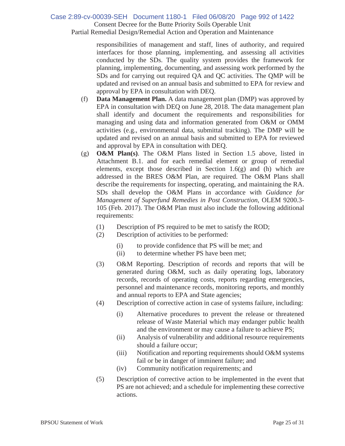# Case 2:89-cv-00039-SEH Document 1180-1 Filed 06/08/20 Page 992 of 1422

Consent Decree for the Butte Priority Soils Operable Unit

Partial Remedial Design/Remedial Action and Operation and Maintenance

responsibilities of management and staff, lines of authority, and required interfaces for those planning, implementing, and assessing all activities conducted by the SDs. The quality system provides the framework for planning, implementing, documenting, and assessing work performed by the SDs and for carrying out required QA and QC activities. The QMP will be updated and revised on an annual basis and submitted to EPA for review and approval by EPA in consultation with DEQ.

- (f) **Data Management Plan.** A data management plan (DMP) was approved by EPA in consultation with DEQ on June 28, 2018. The data management plan shall identify and document the requirements and responsibilities for managing and using data and information generated from O&M or OMM activities (e.g., environmental data, submittal tracking). The DMP will be updated and revised on an annual basis and submitted to EPA for reviewed and approval by EPA in consultation with DEQ.
- (g) **O&M Plan(s)**. The O&M Plans listed in Section 1.5 above, listed in Attachment B.1. and for each remedial element or group of remedial elements, except those described in Section  $1.6(g)$  and (h) which are addressed in the BRES O&M Plan, are required. The O&M Plans shall describe the requirements for inspecting, operating, and maintaining the RA. SDs shall develop the O&M Plans in accordance with *Guidance for Management of Superfund Remedies in Post Construction*, OLEM 9200.3- 105 (Feb. 2017). The O&M Plan must also include the following additional requirements:
	- (1) Description of PS required to be met to satisfy the ROD;
	- (2) Description of activities to be performed:
		- (i) to provide confidence that PS will be met; and
		- (ii) to determine whether PS have been met;
	- (3) O&M Reporting. Description of records and reports that will be generated during O&M, such as daily operating logs, laboratory records, records of operating costs, reports regarding emergencies, personnel and maintenance records, monitoring reports, and monthly and annual reports to EPA and State agencies;
	- (4) Description of corrective action in case of systems failure, including:
		- (i) Alternative procedures to prevent the release or threatened release of Waste Material which may endanger public health and the environment or may cause a failure to achieve PS;
		- (ii) Analysis of vulnerability and additional resource requirements should a failure occur;
		- (iii) Notification and reporting requirements should O&M systems fail or be in danger of imminent failure; and
		- (iv) Community notification requirements; and
	- (5) Description of corrective action to be implemented in the event that PS are not achieved; and a schedule for implementing these corrective actions.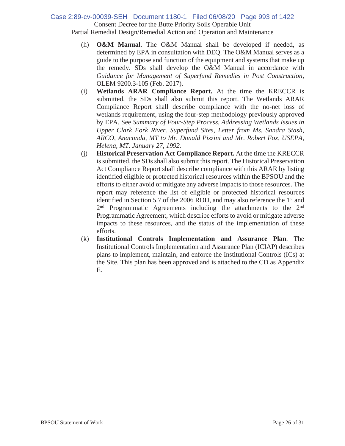### Consent Decree for the Butte Priority Soils Operable Unit Partial Remedial Design/Remedial Action and Operation and Maintenance Case 2:89-cv-00039-SEH Document 1180-1 Filed 06/08/20 Page 993 of 1422

- (h) **O&M Manual**. The O&M Manual shall be developed if needed, as determined by EPA in consultation with DEQ. The O&M Manual serves as a guide to the purpose and function of the equipment and systems that make up the remedy. SDs shall develop the O&M Manual in accordance with *Guidance for Management of Superfund Remedies in Post Construction*, OLEM 9200.3-105 (Feb. 2017).
- (i) **Wetlands ARAR Compliance Report.** At the time the KRECCR is submitted, the SDs shall also submit this report. The Wetlands ARAR Compliance Report shall describe compliance with the no-net loss of wetlands requirement, using the four-step methodology previously approved by EPA. See *Summary of Four-Step Process, Addressing Wetlands Issues in Upper Clark Fork River. Superfund Sites, Letter from Ms. Sandra Stash, ARCO, Anaconda, MT to Mr. Donald Pizzini and Mr. Robert Fox, USEPA, Helena, MT. January 27, 1992.*
- (j) **Historical Preservation Act Compliance Report.** At the time the KRECCR is submitted, the SDs shall also submit this report. The Historical Preservation Act Compliance Report shall describe compliance with this ARAR by listing identified eligible or protected historical resources within the BPSOU and the efforts to either avoid or mitigate any adverse impacts to those resources. The report may reference the list of eligible or protected historical resources identified in Section 5.7 of the 2006 ROD, and may also reference the 1st and 2<sup>nd</sup> Programmatic Agreements including the attachments to the 2<sup>nd</sup> Programmatic Agreement, which describe efforts to avoid or mitigate adverse impacts to these resources, and the status of the implementation of these efforts.
- (k) **Institutional Controls Implementation and Assurance Plan**. The Institutional Controls Implementation and Assurance Plan (ICIAP) describes plans to implement, maintain, and enforce the Institutional Controls (ICs) at the Site. This plan has been approved and is attached to the CD as Appendix E.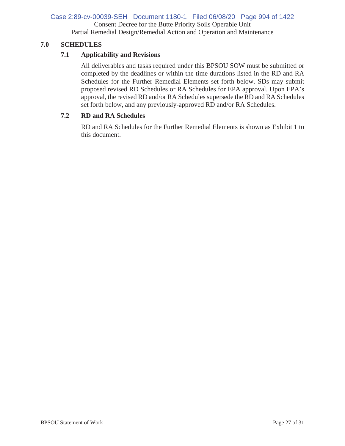### Consent Decree for the Butte Priority Soils Operable Unit Partial Remedial Design/Remedial Action and Operation and Maintenance Case 2:89-cv-00039-SEH Document 1180-1 Filed 06/08/20 Page 994 of 1422

### **7.0 SCHEDULES**

### **7.1 Applicability and Revisions**

All deliverables and tasks required under this BPSOU SOW must be submitted or completed by the deadlines or within the time durations listed in the RD and RA Schedules for the Further Remedial Elements set forth below. SDs may submit proposed revised RD Schedules or RA Schedules for EPA approval. Upon EPA's approval, the revised RD and/or RA Schedules supersede the RD and RA Schedules set forth below, and any previously-approved RD and/or RA Schedules.

### **7.2 RD and RA Schedules**

RD and RA Schedules for the Further Remedial Elements is shown as Exhibit 1 to this document.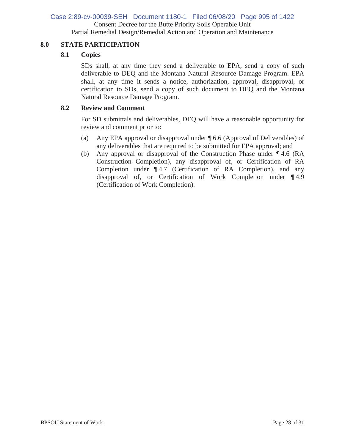# Case 2:89-cv-00039-SEH Document 1180-1 Filed 06/08/20 Page 995 of 1422

Consent Decree for the Butte Priority Soils Operable Unit

Partial Remedial Design/Remedial Action and Operation and Maintenance

### **8.0 STATE PARTICIPATION**

### **8.1 Copies**

SDs shall, at any time they send a deliverable to EPA, send a copy of such deliverable to DEQ and the Montana Natural Resource Damage Program. EPA shall, at any time it sends a notice, authorization, approval, disapproval, or certification to SDs, send a copy of such document to DEQ and the Montana Natural Resource Damage Program.

### **8.2 Review and Comment**

For SD submittals and deliverables, DEQ will have a reasonable opportunity for review and comment prior to:

- (a) Any EPA approval or disapproval under ¶ 6.6 (Approval of Deliverables) of any deliverables that are required to be submitted for EPA approval; and
- (b) Any approval or disapproval of the Construction Phase under ¶ 4.6 (RA Construction Completion), any disapproval of, or Certification of RA Completion under ¶ 4.7 (Certification of RA Completion), and any disapproval of, or Certification of Work Completion under ¶ 4.9 (Certification of Work Completion).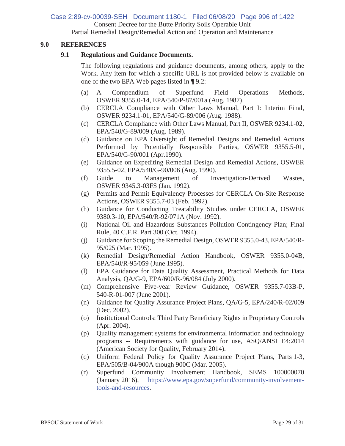Case 2:89-cv-00039-SEH Document 1180-1 Filed 06/08/20 Page 996 of 1422

Consent Decree for the Butte Priority Soils Operable Unit

Partial Remedial Design/Remedial Action and Operation and Maintenance

### **9.0 REFERENCES**

### **9.1 Regulations and Guidance Documents.**

The following regulations and guidance documents, among others, apply to the Work. Any item for which a specific URL is not provided below is available on one of the two EPA Web pages listed in ¶ 9.2:

- (a) A Compendium of Superfund Field Operations Methods, OSWER 9355.0-14, EPA/540/P-87/001a (Aug. 1987).
- (b) CERCLA Compliance with Other Laws Manual, Part I: Interim Final, OSWER 9234.1-01, EPA/540/G-89/006 (Aug. 1988).
- (c) CERCLA Compliance with Other Laws Manual, Part II, OSWER 9234.1-02, EPA/540/G-89/009 (Aug. 1989).
- (d) Guidance on EPA Oversight of Remedial Designs and Remedial Actions Performed by Potentially Responsible Parties, OSWER 9355.5-01, EPA/540/G-90/001 (Apr.1990).
- (e) Guidance on Expediting Remedial Design and Remedial Actions, OSWER 9355.5-02, EPA/540/G-90/006 (Aug. 1990).
- (f) Guide to Management of Investigation-Derived Wastes, OSWER 9345.3-03FS (Jan. 1992).
- (g) Permits and Permit Equivalency Processes for CERCLA On-Site Response Actions, OSWER 9355.7-03 (Feb. 1992).
- (h) Guidance for Conducting Treatability Studies under CERCLA, OSWER 9380.3-10, EPA/540/R-92/071A (Nov. 1992).
- (i) National Oil and Hazardous Substances Pollution Contingency Plan; Final Rule, 40 C.F.R. Part 300 (Oct. 1994).
- (j) Guidance for Scoping the Remedial Design, OSWER 9355.0-43, EPA/540/R-95/025 (Mar. 1995).
- (k) Remedial Design/Remedial Action Handbook, OSWER 9355.0-04B, EPA/540/R-95/059 (June 1995).
- (l) EPA Guidance for Data Quality Assessment, Practical Methods for Data Analysis, QA/G-9, EPA/600/R-96/084 (July 2000).
- (m) Comprehensive Five-year Review Guidance, OSWER 9355.7-03B-P, 540-R-01-007 (June 2001).
- (n) Guidance for Quality Assurance Project Plans, QA/G-5, EPA/240/R-02/009 (Dec. 2002).
- (o) Institutional Controls: Third Party Beneficiary Rights in Proprietary Controls (Apr. 2004).
- (p) Quality management systems for environmental information and technology programs -- Requirements with guidance for use, ASQ/ANSI E4:2014 (American Society for Quality, February 2014).
- (q) Uniform Federal Policy for Quality Assurance Project Plans, Parts 1-3, EPA/505/B-04/900A though 900C (Mar. 2005).
- (r) Superfund Community Involvement Handbook, SEMS 100000070 (January 2016), https://www.epa.gov/superfund/community-involvementtools-and-resources.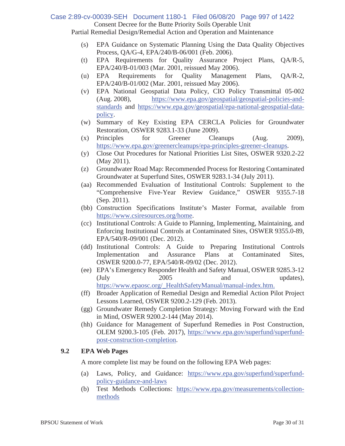# Consent Decree for the Butte Priority Soils Operable Unit Case 2:89-cv-00039-SEH Document 1180-1 Filed 06/08/20 Page 997 of 1422

Partial Remedial Design/Remedial Action and Operation and Maintenance

- (s) EPA Guidance on Systematic Planning Using the Data Quality Objectives Process, QA/G-4, EPA/240/B-06/001 (Feb. 2006).
- (t) EPA Requirements for Quality Assurance Project Plans, QA/R-5, EPA/240/B-01/003 (Mar. 2001, reissued May 2006).
- (u) EPA Requirements for Quality Management Plans, QA/R-2, EPA/240/B-01/002 (Mar. 2001, reissued May 2006).
- (v) EPA National Geospatial Data Policy, CIO Policy Transmittal 05-002 (Aug. 2008), https://www.epa.gov/geospatial/geospatial-policies-andstandards and https://www.epa.gov/geospatial/epa-national-geospatial-datapolicy.
- (w) Summary of Key Existing EPA CERCLA Policies for Groundwater Restoration, OSWER 9283.1-33 (June 2009).
- (x) Principles for Greener Cleanups (Aug. 2009), https://www.epa.gov/greenercleanups/epa-principles-greener-cleanups.
- (y) Close Out Procedures for National Priorities List Sites, OSWER 9320.2-22 (May 2011).
- (z) Groundwater Road Map: Recommended Process for Restoring Contaminated Groundwater at Superfund Sites, OSWER 9283.1-34 (July 2011).
- (aa) Recommended Evaluation of Institutional Controls: Supplement to the "Comprehensive Five-Year Review Guidance," OSWER 9355.7-18 (Sep. 2011).
- (bb) Construction Specifications Institute's Master Format, available from https://www.csiresources.org/home.
- (cc) Institutional Controls: A Guide to Planning, Implementing, Maintaining, and Enforcing Institutional Controls at Contaminated Sites, OSWER 9355.0-89, EPA/540/R-09/001 (Dec. 2012).
- (dd) Institutional Controls: A Guide to Preparing Institutional Controls Implementation and Assurance Plans at Contaminated Sites, OSWER 9200.0-77, EPA/540/R-09/02 (Dec. 2012).
- (ee) EPA's Emergency Responder Health and Safety Manual, OSWER 9285.3-12 (July 2005 and updates), https://www.epaosc.org/\_HealthSafetyManual/manual-index.htm.
- (ff) Broader Application of Remedial Design and Remedial Action Pilot Project Lessons Learned, OSWER 9200.2-129 (Feb. 2013).
- (gg) Groundwater Remedy Completion Strategy: Moving Forward with the End in Mind, OSWER 9200.2-144 (May 2014).
- (hh) Guidance for Management of Superfund Remedies in Post Construction, OLEM 9200.3-105 (Feb. 2017), https://www.epa.gov/superfund/superfundpost-construction-completion.

### **9.2 EPA Web Pages**

A more complete list may be found on the following EPA Web pages:

- (a) Laws, Policy, and Guidance: https://www.epa.gov/superfund/superfundpolicy-guidance-and-laws
- (b) Test Methods Collections: https://www.epa.gov/measurements/collectionmethods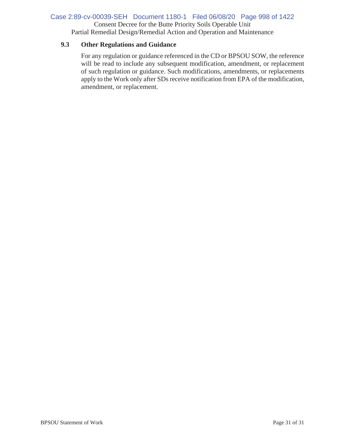### Case 2:89-cv-00039-SEH Document 1180-1 Filed 06/08/20 Page 998 of 1422

Consent Decree for the Butte Priority Soils Operable Unit

Partial Remedial Design/Remedial Action and Operation and Maintenance

### **9.3 Other Regulations and Guidance**

For any regulation or guidance referenced in the CD or BPSOU SOW, the reference will be read to include any subsequent modification, amendment, or replacement of such regulation or guidance. Such modifications, amendments, or replacements apply to the Work only after SDs receive notification from EPA of the modification, amendment, or replacement.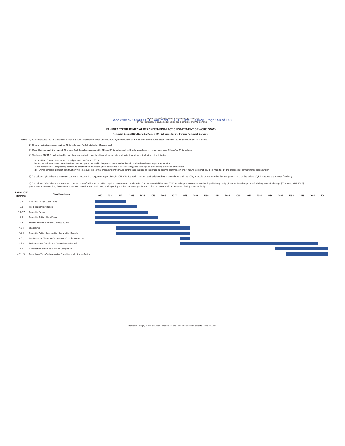#### Case 2:89-cv-00039-Sensent-Decree for the Butte-Priority Soils Operable Hots /20 Page 999 of 1422

#### EXHIBIT 1 TO THE REMEDIAL DESIGN/REMEDIAL ACTION STATEMENT OF WORK (SOW)

Remedial Design (RD)/Remedial Action (RA) Schedule for the Further Remedial Elements

Notes: 1) All deliverables and tasks required under this SOW must be submitted or completed by the deadlines or within the time durations listed in the RD and RA Schedules set forth below

2) SDs may submit proposed revised RD Schedules or RA Schedules for EPA approval.

3) Upon EPA approval, the revised RD and/or RA Schedules supersede the RD and RA Schedules set forth below, and any previously-approved RD and/or RA Schedules.

4) The below RD/RA Schedule is reflective of current project understanding and known site and project constraints, including but not limited to:

**Task Description** 

4.7 b (3) Begin Long-Term Surface Water Compliance Monitoring Period

a) A BPSOU Consent Decree will be lodged with the Court in 2020.<br>b) Parties will attempt to minimize simultaneous operations within the project areas, on haul roads, and at the selected repository location.<br>c) Partier etha

5) The below RD/RA Schedule addresses content of Sections 3 through 6 of Appendix D, BPSOU SOW. Items that do not require deliverables in accordance with the SOW, or would be addressed within the general tasks of the below

6) The below RD/RA Schedule is intended to be inclusive of all known activities required to complete the identified Further Remedial Elements SOW, including the tasks associated with preliminary design, intermediate design

#### **BPSOU SOW**<br>Reference

2020 2021 2022 2023 2024 2025 2026 2027 2028 2029 2030 2031 2032 2033 2034 2035 2036 2037 2038 2039 2040 2041  $3.1$ Remedial Design Work Plans Ξ  $3.3$ Pre-Design Investigation 3.4-3.7 Remedial Design  $4.1\,$ Remedial Action Work Plans  $42$ Further Remedial Elements Construction 4.6 c Shakedown  $4.6d$ Remedial Action Construction Completion Reports 4.6 g Key Remedial Elements Construction Completion Report 4.6 h Surface Water Compliance Determination Period  $4.7$ Certification of Remedial Action Completion

Remedial Design/Remedial Action Schedule for the Further Remedial Elements Scope of Work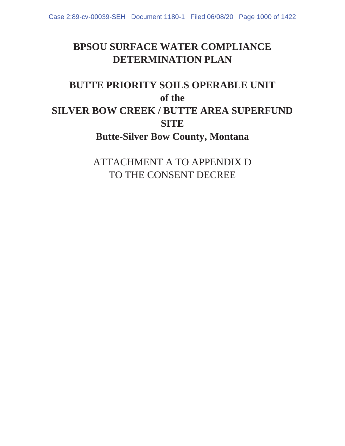# **BPSOU SURFACE WATER COMPLIANCE DETERMINATION PLAN**

# **BUTTE PRIORITY SOILS OPERABLE UNIT of the SILVER BOW CREEK / BUTTE AREA SUPERFUND SITE Butte-Silver Bow County, Montana**

ATTACHMENT A TO APPENDIX D TO THE CONSENT DECREE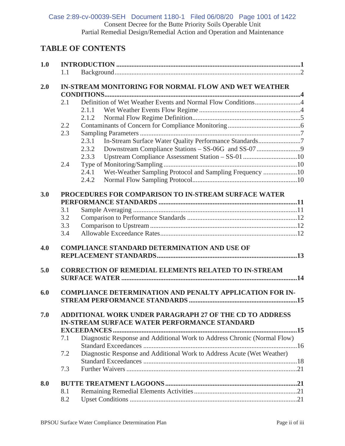Consent Decree for the Butte Priority Soils Operable Unit Partial Remedial Design/Remedial Action and Operation and Maintenance Case 2:89-cv-00039-SEH Document 1180-1 Filed 06/08/20 Page 1001 of 1422

## **TABLE OF CONTENTS**

| 1.0 |     |                                                                          |  |  |  |  |  |  |
|-----|-----|--------------------------------------------------------------------------|--|--|--|--|--|--|
|     | 1.1 |                                                                          |  |  |  |  |  |  |
| 2.0 |     | <b>IN-STREAM MONITORING FOR NORMAL FLOW AND WET WEATHER</b>              |  |  |  |  |  |  |
|     |     |                                                                          |  |  |  |  |  |  |
|     | 2.1 |                                                                          |  |  |  |  |  |  |
|     |     | 2.1.1                                                                    |  |  |  |  |  |  |
|     |     | 2.1.2                                                                    |  |  |  |  |  |  |
|     | 2.2 |                                                                          |  |  |  |  |  |  |
|     | 2.3 |                                                                          |  |  |  |  |  |  |
|     |     | In-Stream Surface Water Quality Performance Standards7<br>2.3.1          |  |  |  |  |  |  |
|     |     | 2.3.2                                                                    |  |  |  |  |  |  |
|     |     | Upstream Compliance Assessment Station - SS-01 10<br>2.3.3               |  |  |  |  |  |  |
|     | 2.4 |                                                                          |  |  |  |  |  |  |
|     |     | Wet-Weather Sampling Protocol and Sampling Frequency 10<br>2.4.1         |  |  |  |  |  |  |
|     |     | 2.4.2                                                                    |  |  |  |  |  |  |
|     |     |                                                                          |  |  |  |  |  |  |
| 3.0 |     | PROCEDURES FOR COMPARISON TO IN-STREAM SURFACE WATER                     |  |  |  |  |  |  |
|     |     |                                                                          |  |  |  |  |  |  |
|     | 3.1 |                                                                          |  |  |  |  |  |  |
|     | 3.2 |                                                                          |  |  |  |  |  |  |
|     | 3.3 |                                                                          |  |  |  |  |  |  |
|     | 3.4 |                                                                          |  |  |  |  |  |  |
|     |     |                                                                          |  |  |  |  |  |  |
| 4.0 |     | <b>COMPLIANCE STANDARD DETERMINATION AND USE OF</b>                      |  |  |  |  |  |  |
|     |     |                                                                          |  |  |  |  |  |  |
|     |     |                                                                          |  |  |  |  |  |  |
| 5.0 |     | <b>CORRECTION OF REMEDIAL ELEMENTS RELATED TO IN-STREAM</b>              |  |  |  |  |  |  |
|     |     |                                                                          |  |  |  |  |  |  |
|     |     |                                                                          |  |  |  |  |  |  |
| 6.0 |     | <b>COMPLIANCE DETERMINATION AND PENALTY APPLICATION FOR IN-</b>          |  |  |  |  |  |  |
|     |     |                                                                          |  |  |  |  |  |  |
|     |     |                                                                          |  |  |  |  |  |  |
| 7.0 |     | <b>ADDITIONAL WORK UNDER PARAGRAPH 27 OF THE CD TO ADDRESS</b>           |  |  |  |  |  |  |
|     |     | <b>IN-STREAM SURFACE WATER PERFORMANCE STANDARD</b>                      |  |  |  |  |  |  |
|     |     |                                                                          |  |  |  |  |  |  |
|     | 7.1 | Diagnostic Response and Additional Work to Address Chronic (Normal Flow) |  |  |  |  |  |  |
|     |     |                                                                          |  |  |  |  |  |  |
|     | 7.2 | Diagnostic Response and Additional Work to Address Acute (Wet Weather)   |  |  |  |  |  |  |
|     |     |                                                                          |  |  |  |  |  |  |
|     | 7.3 |                                                                          |  |  |  |  |  |  |
| 8.0 |     |                                                                          |  |  |  |  |  |  |
|     | 8.1 |                                                                          |  |  |  |  |  |  |
|     | 8.2 |                                                                          |  |  |  |  |  |  |
|     |     |                                                                          |  |  |  |  |  |  |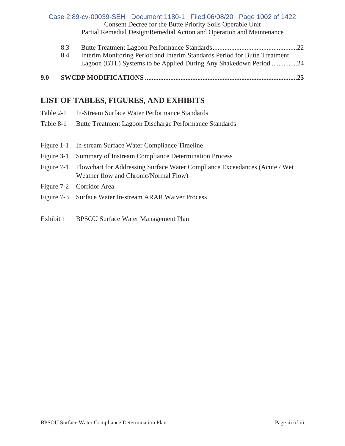Consent Decree for the Butte Priority Soils Operable Unit Partial Remedial Design/Remedial Action and Operation and Maintenance Case 2:89-cv-00039-SEH Document 1180-1 Filed 06/08/20 Page 1002 of 1422

| 9.0 |     |                                                                            |  |
|-----|-----|----------------------------------------------------------------------------|--|
|     |     | Lagoon (BTL) Systems to be Applied During Any Shakedown Period 24          |  |
|     | 8.4 | Interim Monitoring Period and Interim Standards Period for Butte Treatment |  |
|     | 8.3 |                                                                            |  |

# **LIST OF TABLES, FIGURES, AND EXHIBITS**

| Table 2-1 |  | In-Stream Surface Water Performance Standards |  |
|-----------|--|-----------------------------------------------|--|
|           |  |                                               |  |

- Table 8-1 Butte Treatment Lagoon Discharge Performance Standards
- Figure 1-1 In-stream Surface Water Compliance Timeline
- Figure 3-1 Summary of Instream Compliance Determination Process
- Figure 7-1 Flowchart for Addressing Surface Water Compliance Exceedances (Acute / Wet Weather flow and Chronic/Normal Flow)
- Figure 7-2 Corridor Area
- Figure 7-3 Surface Water In-stream ARAR Waiver Process
- Exhibit 1 BPSOU Surface Water Management Plan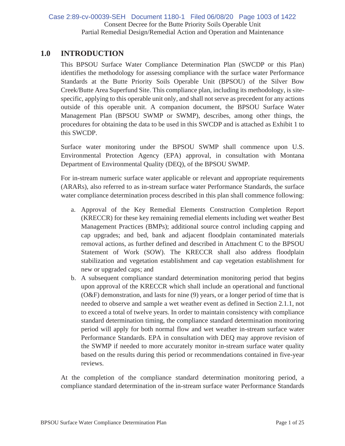Consent Decree for the Butte Priority Soils Operable Unit Partial Remedial Design/Remedial Action and Operation and Maintenance Case 2:89-cv-00039-SEH Document 1180-1 Filed 06/08/20 Page 1003 of 1422

## **1.0 INTRODUCTION**

This BPSOU Surface Water Compliance Determination Plan (SWCDP or this Plan) identifies the methodology for assessing compliance with the surface water Performance Standards at the Butte Priority Soils Operable Unit (BPSOU) of the Silver Bow Creek/Butte Area Superfund Site. This compliance plan, including its methodology, is sitespecific, applying to this operable unit only, and shall not serve as precedent for any actions outside of this operable unit. A companion document, the BPSOU Surface Water Management Plan (BPSOU SWMP or SWMP), describes, among other things, the procedures for obtaining the data to be used in this SWCDP and is attached as Exhibit 1 to this SWCDP.

Surface water monitoring under the BPSOU SWMP shall commence upon U.S. Environmental Protection Agency (EPA) approval, in consultation with Montana Department of Environmental Quality (DEQ), of the BPSOU SWMP.

For in-stream numeric surface water applicable or relevant and appropriate requirements (ARARs), also referred to as in-stream surface water Performance Standards, the surface water compliance determination process described in this plan shall commence following:

- a. Approval of the Key Remedial Elements Construction Completion Report (KRECCR) for these key remaining remedial elements including wet weather Best Management Practices (BMPs); additional source control including capping and cap upgrades; and bed, bank and adjacent floodplain contaminated materials removal actions, as further defined and described in Attachment C to the BPSOU Statement of Work (SOW). The KRECCR shall also address floodplain stabilization and vegetation establishment and cap vegetation establishment for new or upgraded caps; and
- b. A subsequent compliance standard determination monitoring period that begins upon approval of the KRECCR which shall include an operational and functional (O&F) demonstration, and lasts for nine (9) years, or a longer period of time that is needed to observe and sample a wet weather event as defined in Section 2.1.1, not to exceed a total of twelve years. In order to maintain consistency with compliance standard determination timing, the compliance standard determination monitoring period will apply for both normal flow and wet weather in-stream surface water Performance Standards. EPA in consultation with DEQ may approve revision of the SWMP if needed to more accurately monitor in-stream surface water quality based on the results during this period or recommendations contained in five-year reviews.

At the completion of the compliance standard determination monitoring period, a compliance standard determination of the in-stream surface water Performance Standards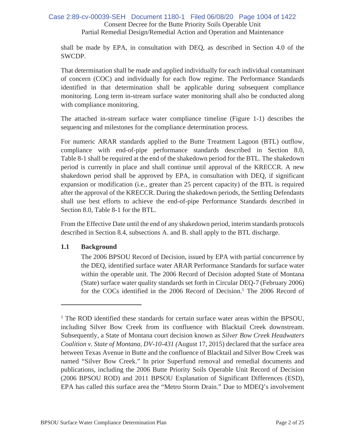### Consent Decree for the Butte Priority Soils Operable Unit Partial Remedial Design/Remedial Action and Operation and Maintenance Case 2:89-cv-00039-SEH Document 1180-1 Filed 06/08/20 Page 1004 of 1422

shall be made by EPA, in consultation with DEQ, as described in Section 4.0 of the SWCDP.

That determination shall be made and applied individually for each individual contaminant of concern (COC) and individually for each flow regime. The Performance Standards identified in that determination shall be applicable during subsequent compliance monitoring. Long term in-stream surface water monitoring shall also be conducted along with compliance monitoring.

The attached in-stream surface water compliance timeline (Figure 1-1) describes the sequencing and milestones for the compliance determination process.

For numeric ARAR standards applied to the Butte Treatment Lagoon (BTL) outflow, compliance with end-of-pipe performance standards described in Section 8.0, Table 8-1 shall be required at the end of the shakedown period for the BTL. The shakedown period is currently in place and shall continue until approval of the KRECCR. A new shakedown period shall be approved by EPA, in consultation with DEQ, if significant expansion or modification (i.e., greater than 25 percent capacity) of the BTL is required after the approval of the KRECCR. During the shakedown periods, the Settling Defendants shall use best efforts to achieve the end-of-pipe Performance Standards described in Section 8.0, Table 8-1 for the BTL.

From the Effective Date until the end of any shakedown period, interim standards protocols described in Section 8.4, subsections A. and B. shall apply to the BTL discharge.

### **1.1 Background**

The 2006 BPSOU Record of Decision, issued by EPA with partial concurrence by the DEQ, identified surface water ARAR Performance Standards for surface water within the operable unit. The 2006 Record of Decision adopted State of Montana (State) surface water quality standards set forth in Circular DEQ-7 (February 2006) for the COCs identified in the  $2006$  Record of Decision.<sup>1</sup> The  $2006$  Record of

<sup>&</sup>lt;sup>1</sup> The ROD identified these standards for certain surface water areas within the BPSOU, including Silver Bow Creek from its confluence with Blacktail Creek downstream. Subsequently, a State of Montana court decision known as *Silver Bow Creek Headwaters Coalition v. State of Montana, DV-10-431 (*August 17, 2015) declared that the surface area between Texas Avenue in Butte and the confluence of Blacktail and Silver Bow Creek was named "Silver Bow Creek." In prior Superfund removal and remedial documents and publications, including the 2006 Butte Priority Soils Operable Unit Record of Decision (2006 BPSOU ROD) and 2011 BPSOU Explanation of Significant Differences (ESD), EPA has called this surface area the "Metro Storm Drain." Due to MDEQ's involvement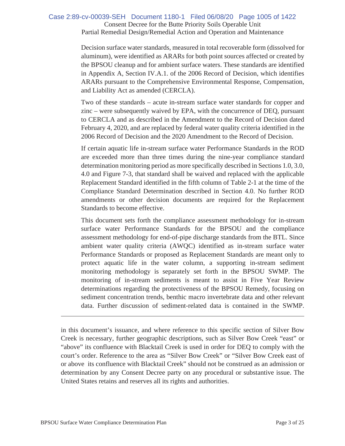### Consent Decree for the Butte Priority Soils Operable Unit Partial Remedial Design/Remedial Action and Operation and Maintenance Case 2:89-cv-00039-SEH Document 1180-1 Filed 06/08/20 Page 1005 of 1422

Decision surface water standards, measured in total recoverable form (dissolved for aluminum), were identified as ARARs for both point sources affected or created by the BPSOU cleanup and for ambient surface waters. These standards are identified in Appendix A, Section IV.A.1. of the 2006 Record of Decision, which identifies ARARs pursuant to the Comprehensive Environmental Response, Compensation, and Liability Act as amended (CERCLA).

Two of these standards – acute in-stream surface water standards for copper and zinc – were subsequently waived by EPA, with the concurrence of DEQ, pursuant to CERCLA and as described in the Amendment to the Record of Decision dated February 4, 2020, and are replaced by federal water quality criteria identified in the 2006 Record of Decision and the 2020 Amendment to the Record of Decision.

If certain aquatic life in-stream surface water Performance Standards in the ROD are exceeded more than three times during the nine-year compliance standard determination monitoring period as more specifically described in Sections 1.0, 3.0, 4.0 and Figure 7-3, that standard shall be waived and replaced with the applicable Replacement Standard identified in the fifth column of Table 2-1 at the time of the Compliance Standard Determination described in Section 4.0. No further ROD amendments or other decision documents are required for the Replacement Standards to become effective.

This document sets forth the compliance assessment methodology for in-stream surface water Performance Standards for the BPSOU and the compliance assessment methodology for end-of-pipe discharge standards from the BTL. Since ambient water quality criteria (AWQC) identified as in-stream surface water Performance Standards or proposed as Replacement Standards are meant only to protect aquatic life in the water column, a supporting in-stream sediment monitoring methodology is separately set forth in the BPSOU SWMP. The monitoring of in-stream sediments is meant to assist in Five Year Review determinations regarding the protectiveness of the BPSOU Remedy, focusing on sediment concentration trends, benthic macro invertebrate data and other relevant data. Further discussion of sediment-related data is contained in the SWMP.

in this document's issuance, and where reference to this specific section of Silver Bow Creek is necessary, further geographic descriptions, such as Silver Bow Creek "east" or "above" its confluence with Blacktail Creek is used in order for DEQ to comply with the court's order. Reference to the area as "Silver Bow Creek" or "Silver Bow Creek east of or above its confluence with Blacktail Creek" should not be construed as an admission or determination by any Consent Decree party on any procedural or substantive issue. The United States retains and reserves all its rights and authorities.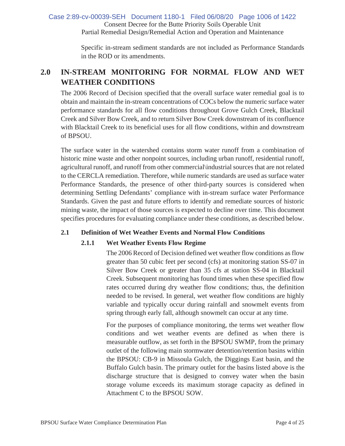### Consent Decree for the Butte Priority Soils Operable Unit Partial Remedial Design/Remedial Action and Operation and Maintenance Case 2:89-cv-00039-SEH Document 1180-1 Filed 06/08/20 Page 1006 of 1422

Specific in-stream sediment standards are not included as Performance Standards in the ROD or its amendments.

# **2.0 IN-STREAM MONITORING FOR NORMAL FLOW AND WET WEATHER CONDITIONS**

The 2006 Record of Decision specified that the overall surface water remedial goal is to obtain and maintain the in-stream concentrations of COCs below the numeric surface water performance standards for all flow conditions throughout Grove Gulch Creek, Blacktail Creek and Silver Bow Creek, and to return Silver Bow Creek downstream of its confluence with Blacktail Creek to its beneficial uses for all flow conditions, within and downstream of BPSOU.

The surface water in the watershed contains storm water runoff from a combination of historic mine waste and other nonpoint sources, including urban runoff, residential runoff, agricultural runoff, and runoff from other commercial\industrial sources that are not related to the CERCLA remediation. Therefore, while numeric standards are used as surface water Performance Standards, the presence of other third-party sources is considered when determining Settling Defendants' compliance with in-stream surface water Performance Standards. Given the past and future efforts to identify and remediate sources of historic mining waste, the impact of those sources is expected to decline over time. This document specifies procedures for evaluating compliance under these conditions, as described below.

### **2.1 Definition of Wet Weather Events and Normal Flow Conditions**

### **2.1.1 Wet Weather Events Flow Regime**

The 2006 Record of Decision defined wet weather flow conditions as flow greater than 50 cubic feet per second (cfs) at monitoring station SS-07 in Silver Bow Creek or greater than 35 cfs at station SS-04 in Blacktail Creek. Subsequent monitoring has found times when these specified flow rates occurred during dry weather flow conditions; thus, the definition needed to be revised. In general, wet weather flow conditions are highly variable and typically occur during rainfall and snowmelt events from spring through early fall, although snowmelt can occur at any time.

For the purposes of compliance monitoring, the terms wet weather flow conditions and wet weather events are defined as when there is measurable outflow, as set forth in the BPSOU SWMP, from the primary outlet of the following main stormwater detention/retention basins within the BPSOU: CB-9 in Missoula Gulch, the Diggings East basin, and the Buffalo Gulch basin. The primary outlet for the basins listed above is the discharge structure that is designed to convey water when the basin storage volume exceeds its maximum storage capacity as defined in Attachment C to the BPSOU SOW.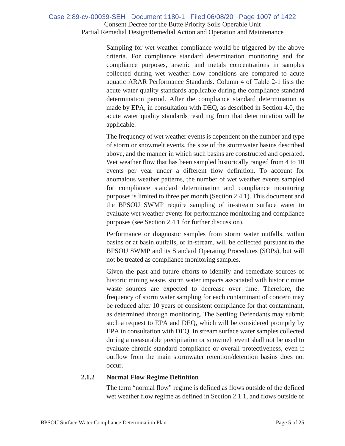### Consent Decree for the Butte Priority Soils Operable Unit Partial Remedial Design/Remedial Action and Operation and Maintenance Case 2:89-cv-00039-SEH Document 1180-1 Filed 06/08/20 Page 1007 of 1422

Sampling for wet weather compliance would be triggered by the above criteria. For compliance standard determination monitoring and for compliance purposes, arsenic and metals concentrations in samples collected during wet weather flow conditions are compared to acute aquatic ARAR Performance Standards. Column 4 of Table 2-1 lists the acute water quality standards applicable during the compliance standard determination period. After the compliance standard determination is made by EPA, in consultation with DEQ, as described in Section 4.0, the acute water quality standards resulting from that determination will be applicable.

The frequency of wet weather events is dependent on the number and type of storm or snowmelt events, the size of the stormwater basins described above, and the manner in which such basins are constructed and operated. Wet weather flow that has been sampled historically ranged from 4 to 10 events per year under a different flow definition. To account for anomalous weather patterns, the number of wet weather events sampled for compliance standard determination and compliance monitoring purposes is limited to three per month (Section 2.4.1). This document and the BPSOU SWMP require sampling of in-stream surface water to evaluate wet weather events for performance monitoring and compliance purposes (see Section 2.4.1 for further discussion).

Performance or diagnostic samples from storm water outfalls, within basins or at basin outfalls, or in-stream, will be collected pursuant to the BPSOU SWMP and its Standard Operating Procedures (SOPs), but will not be treated as compliance monitoring samples.

Given the past and future efforts to identify and remediate sources of historic mining waste, storm water impacts associated with historic mine waste sources are expected to decrease over time. Therefore, the frequency of storm water sampling for each contaminant of concern may be reduced after 10 years of consistent compliance for that contaminant, as determined through monitoring. The Settling Defendants may submit such a request to EPA and DEQ, which will be considered promptly by EPA in consultation with DEQ. In stream surface water samples collected during a measurable precipitation or snowmelt event shall not be used to evaluate chronic standard compliance or overall protectiveness, even if outflow from the main stormwater retention/detention basins does not occur.

### **2.1.2 Normal Flow Regime Definition**

The term "normal flow" regime is defined as flows outside of the defined wet weather flow regime as defined in Section 2.1.1, and flows outside of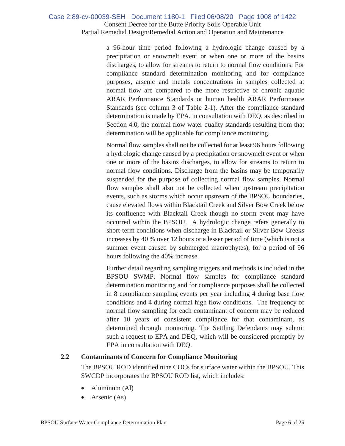### Consent Decree for the Butte Priority Soils Operable Unit Partial Remedial Design/Remedial Action and Operation and Maintenance Case 2:89-cv-00039-SEH Document 1180-1 Filed 06/08/20 Page 1008 of 1422

a 96-hour time period following a hydrologic change caused by a precipitation or snowmelt event or when one or more of the basins discharges, to allow for streams to return to normal flow conditions. For compliance standard determination monitoring and for compliance purposes, arsenic and metals concentrations in samples collected at normal flow are compared to the more restrictive of chronic aquatic ARAR Performance Standards or human health ARAR Performance Standards (see column 3 of Table 2-1). After the compliance standard determination is made by EPA, in consultation with DEQ, as described in Section 4.0, the normal flow water quality standards resulting from that determination will be applicable for compliance monitoring.

Normal flow samples shall not be collected for at least 96 hours following a hydrologic change caused by a precipitation or snowmelt event or when one or more of the basins discharges, to allow for streams to return to normal flow conditions. Discharge from the basins may be temporarily suspended for the purpose of collecting normal flow samples. Normal flow samples shall also not be collected when upstream precipitation events, such as storms which occur upstream of the BPSOU boundaries, cause elevated flows within Blacktail Creek and Silver Bow Creek below its confluence with Blacktail Creek though no storm event may have occurred within the BPSOU. A hydrologic change refers generally to short-term conditions when discharge in Blacktail or Silver Bow Creeks increases by 40 % over 12 hours or a lesser period of time (which is not a summer event caused by submerged macrophytes), for a period of 96 hours following the 40% increase.

Further detail regarding sampling triggers and methods is included in the BPSOU SWMP. Normal flow samples for compliance standard determination monitoring and for compliance purposes shall be collected in 8 compliance sampling events per year including 4 during base flow conditions and 4 during normal high flow conditions. The frequency of normal flow sampling for each contaminant of concern may be reduced after 10 years of consistent compliance for that contaminant, as determined through monitoring. The Settling Defendants may submit such a request to EPA and DEQ, which will be considered promptly by EPA in consultation with DEQ.

### **2.2 Contaminants of Concern for Compliance Monitoring**

The BPSOU ROD identified nine COCs for surface water within the BPSOU. This SWCDP incorporates the BPSOU ROD list, which includes:

- Aluminum (Al)
- Arsenic (As)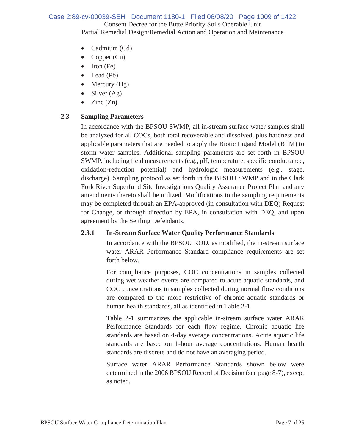### Consent Decree for the Butte Priority Soils Operable Unit Partial Remedial Design/Remedial Action and Operation and Maintenance Case 2:89-cv-00039-SEH Document 1180-1 Filed 06/08/20 Page 1009 of 1422

- Cadmium (Cd)
- Copper  $(Cu)$
- $\bullet$  Iron (Fe)
- $\bullet$  Lead (Pb)
- Mercury  $(Hg)$
- $\bullet$  Silver (Ag)
- Zinc  $(Zn)$

### **2.3 Sampling Parameters**

In accordance with the BPSOU SWMP, all in-stream surface water samples shall be analyzed for all COCs, both total recoverable and dissolved, plus hardness and applicable parameters that are needed to apply the Biotic Ligand Model (BLM) to storm water samples. Additional sampling parameters are set forth in BPSOU SWMP, including field measurements (e.g., pH, temperature, specific conductance, oxidation-reduction potential) and hydrologic measurements (e.g., stage, discharge). Sampling protocol as set forth in the BPSOU SWMP and in the Clark Fork River Superfund Site Investigations Quality Assurance Project Plan and any amendments thereto shall be utilized. Modifications to the sampling requirements may be completed through an EPA-approved (in consultation with DEQ) Request for Change, or through direction by EPA, in consultation with DEQ, and upon agreement by the Settling Defendants.

### **2.3.1 In-Stream Surface Water Quality Performance Standards**

In accordance with the BPSOU ROD, as modified, the in-stream surface water ARAR Performance Standard compliance requirements are set forth below.

For compliance purposes, COC concentrations in samples collected during wet weather events are compared to acute aquatic standards, and COC concentrations in samples collected during normal flow conditions are compared to the more restrictive of chronic aquatic standards or human health standards, all as identified in Table 2-1.

Table 2-1 summarizes the applicable in-stream surface water ARAR Performance Standards for each flow regime. Chronic aquatic life standards are based on 4-day average concentrations. Acute aquatic life standards are based on 1-hour average concentrations. Human health standards are discrete and do not have an averaging period.

Surface water ARAR Performance Standards shown below were determined in the 2006 BPSOU Record of Decision (see page 8-7), except as noted.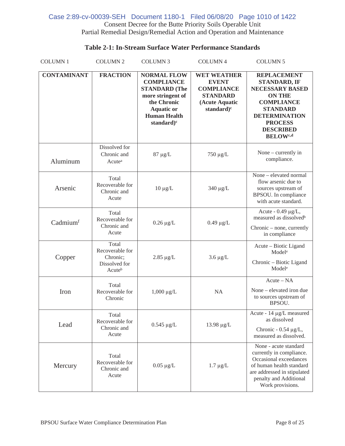### Consent Decree for the Butte Priority Soils Operable Unit Partial Remedial Design/Remedial Action and Operation and Maintenance Case 2:89-cv-00039-SEH Document 1180-1 Filed 06/08/20 Page 1010 of 1422

### **Table 2-1: In-Stream Surface Water Performance Standards**

| <b>COLUMN1</b>     | <b>COLUMN 2</b>                                                 | <b>COLUMN 3</b>                                                                                                                                                  | <b>COLUMN 4</b>                                                                                                        | <b>COLUMN 5</b>                                                                                                                                                                                                           |  |
|--------------------|-----------------------------------------------------------------|------------------------------------------------------------------------------------------------------------------------------------------------------------------|------------------------------------------------------------------------------------------------------------------------|---------------------------------------------------------------------------------------------------------------------------------------------------------------------------------------------------------------------------|--|
| <b>CONTAMINANT</b> | <b>FRACTION</b>                                                 | <b>NORMAL FLOW</b><br><b>COMPLIANCE</b><br><b>STANDARD</b> (The<br>more stringent of<br>the Chronic<br><b>Aquatic or</b><br><b>Human Health</b><br>standard) $c$ | <b>WET WEATHER</b><br><b>EVENT</b><br><b>COMPLIANCE</b><br><b>STANDARD</b><br>(Acute Aquatic<br>standard) <sup>c</sup> | <b>REPLACEMENT</b><br><b>STANDARD, IF</b><br><b>NECESSARY BASED</b><br><b>ON THE</b><br><b>COMPLIANCE</b><br><b>STANDARD</b><br><b>DETERMINATION</b><br><b>PROCESS</b><br><b>DESCRIBED</b><br><b>BELOW</b> <sup>c,d</sup> |  |
| Aluminum           | Dissolved for<br>Chronic and<br>Acute <sup>a</sup>              | $87 \mu g/L$                                                                                                                                                     | 750 μg/L                                                                                                               | None – currently in<br>compliance.                                                                                                                                                                                        |  |
| Arsenic            | Total<br>Recoverable for<br>Chronic and<br>Acute                | $10 \mu g/L$                                                                                                                                                     | 340 µg/L                                                                                                               | None - elevated normal<br>flow arsenic due to<br>sources upstream of<br>BPSOU. In compliance<br>with acute standard.                                                                                                      |  |
| Cadmiumf           | Total<br>Recoverable for<br>Chronic and<br>Acute                | $0.26 \mu g/L$                                                                                                                                                   | $0.49 \mu g/L$                                                                                                         | Acute - $0.49 \mu g/L$ ,<br>measured as dissolved <sup>b</sup><br>Chronic – none, currently<br>in compliance                                                                                                              |  |
| Copper             | Total<br>Recoverable for<br>Chronic;<br>Dissolved for<br>Acuteb | $2.85 \mu g/L$                                                                                                                                                   | $3.6 \mu g/L$                                                                                                          | Acute – Biotic Ligand<br>Model <sup>e</sup><br>Chronic - Biotic Ligand<br>Model <sup>e</sup>                                                                                                                              |  |
| Iron               | Total<br>Recoverable for<br>Chronic                             | $1,000 \mu g/L$                                                                                                                                                  | <b>NA</b>                                                                                                              | Acute - NA<br>None - elevated iron due<br>to sources upstream of<br>BPSOU.                                                                                                                                                |  |
| Lead               | Total<br>Recoverable for<br>Chronic and<br>Acute                | $0.545 \mu g/L$                                                                                                                                                  | 13.98 µg/L                                                                                                             | Acute - 14 µg/L measured<br>as dissolved<br>Chronic - 0.54 µg/L,<br>measured as dissolved.                                                                                                                                |  |
| Mercury            | Total<br>Recoverable for<br>Chronic and<br>Acute                | $0.05 \mu g/L$                                                                                                                                                   | $1.7 \mu g/L$                                                                                                          | None - acute standard<br>currently in compliance.<br>Occasional exceedances<br>of human health standard<br>are addressed in stipulated<br>penalty and Additional<br>Work provisions.                                      |  |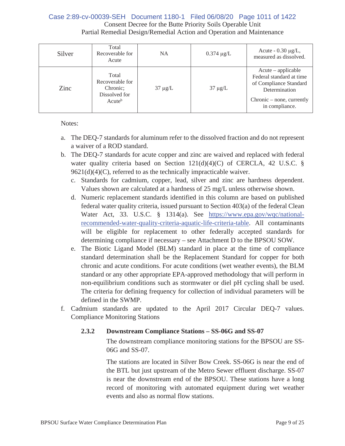### Consent Decree for the Butte Priority Soils Operable Unit Partial Remedial Design/Remedial Action and Operation and Maintenance Case 2:89-cv-00039-SEH Document 1180-1 Filed 06/08/20 Page 1011 of 1422

| Silver | Total<br>Recoverable for<br>Acute                                           | <b>NA</b>    | $0.374 \mu g/L$ | Acute - $0.30 \mu g/L$ ,<br>measured as dissolved.                                                                                            |
|--------|-----------------------------------------------------------------------------|--------------|-----------------|-----------------------------------------------------------------------------------------------------------------------------------------------|
| Zinc   | Total<br>Recoverable for<br>Chronic:<br>Dissolved for<br>Acute <sup>b</sup> | $37 \mu g/L$ | $37 \mu g/L$    | $Acute - applicable$<br>Federal standard at time<br>of Compliance Standard<br>Determination<br>$Chronic - none$ , currently<br>in compliance. |

Notes:

- a. The DEQ-7 standards for aluminum refer to the dissolved fraction and do not represent a waiver of a ROD standard.
- b. The DEQ-7 standards for acute copper and zinc are waived and replaced with federal water quality criteria based on Section 121(d)(4)(C) of CERCLA, 42 U.S.C. §  $9621(d)(4)(C)$ , referred to as the technically impracticable waiver.
	- c. Standards for cadmium, copper, lead, silver and zinc are hardness dependent. Values shown are calculated at a hardness of 25 mg/L unless otherwise shown.
	- d. Numeric replacement standards identified in this column are based on published federal water quality criteria, issued pursuant to Section 403(a) of the federal Clean Water Act, 33. U.S.C. § 1314(a). See https://www.epa.gov/wqc/nationalrecommended-water-quality-criteria-aquatic-life-criteria-table. All contaminants will be eligible for replacement to other federally accepted standards for determining compliance if necessary – see Attachment D to the BPSOU SOW.
	- e. The Biotic Ligand Model (BLM) standard in place at the time of compliance standard determination shall be the Replacement Standard for copper for both chronic and acute conditions. For acute conditions (wet weather events), the BLM standard or any other appropriate EPA-approved methodology that will perform in non-equilibrium conditions such as stormwater or diel pH cycling shall be used. The criteria for defining frequency for collection of individual parameters will be defined in the SWMP.
- f. Cadmium standards are updated to the April 2017 Circular DEQ-7 values. Compliance Monitoring Stations

### **2.3.2 Downstream Compliance Stations – SS-06G and SS-07**

The downstream compliance monitoring stations for the BPSOU are SS-06G and SS-07.

The stations are located in Silver Bow Creek. SS-06G is near the end of the BTL but just upstream of the Metro Sewer effluent discharge. SS-07 is near the downstream end of the BPSOU. These stations have a long record of monitoring with automated equipment during wet weather events and also as normal flow stations.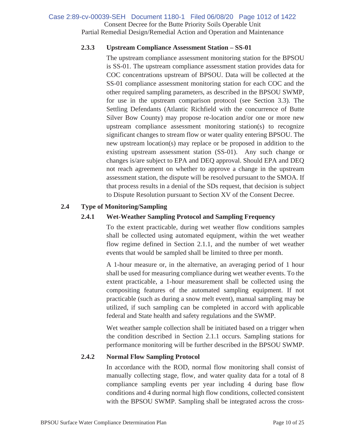### Consent Decree for the Butte Priority Soils Operable Unit Partial Remedial Design/Remedial Action and Operation and Maintenance Case 2:89-cv-00039-SEH Document 1180-1 Filed 06/08/20 Page 1012 of 1422

### **2.3.3 Upstream Compliance Assessment Station – SS-01**

The upstream compliance assessment monitoring station for the BPSOU is SS-01. The upstream compliance assessment station provides data for COC concentrations upstream of BPSOU. Data will be collected at the SS-01 compliance assessment monitoring station for each COC and the other required sampling parameters, as described in the BPSOU SWMP, for use in the upstream comparison protocol (see Section 3.3). The Settling Defendants (Atlantic Richfield with the concurrence of Butte Silver Bow County) may propose re-location and/or one or more new upstream compliance assessment monitoring station(s) to recognize significant changes to stream flow or water quality entering BPSOU. The new upstream location(s) may replace or be proposed in addition to the existing upstream assessment station (SS-01). Any such change or changes is/are subject to EPA and DEQ approval. Should EPA and DEQ not reach agreement on whether to approve a change in the upstream assessment station, the dispute will be resolved pursuant to the SMOA. If that process results in a denial of the SDs request, that decision is subject to Dispute Resolution pursuant to Section XV of the Consent Decree.

### **2.4 Type of Monitoring/Sampling**

### **2.4.1 Wet-Weather Sampling Protocol and Sampling Frequency**

To the extent practicable, during wet weather flow conditions samples shall be collected using automated equipment, within the wet weather flow regime defined in Section 2.1.1, and the number of wet weather events that would be sampled shall be limited to three per month.

A 1-hour measure or, in the alternative, an averaging period of 1 hour shall be used for measuring compliance during wet weather events. To the extent practicable, a 1-hour measurement shall be collected using the compositing features of the automated sampling equipment. If not practicable (such as during a snow melt event), manual sampling may be utilized, if such sampling can be completed in accord with applicable federal and State health and safety regulations and the SWMP.

Wet weather sample collection shall be initiated based on a trigger when the condition described in Section 2.1.1 occurs. Sampling stations for performance monitoring will be further described in the BPSOU SWMP.

### **2.4.2 Normal Flow Sampling Protocol**

In accordance with the ROD, normal flow monitoring shall consist of manually collecting stage, flow, and water quality data for a total of 8 compliance sampling events per year including 4 during base flow conditions and 4 during normal high flow conditions, collected consistent with the BPSOU SWMP. Sampling shall be integrated across the cross-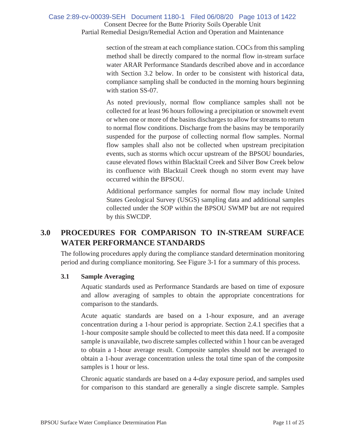Consent Decree for the Butte Priority Soils Operable Unit Partial Remedial Design/Remedial Action and Operation and Maintenance Case 2:89-cv-00039-SEH Document 1180-1 Filed 06/08/20 Page 1013 of 1422

> section of the stream at each compliance station. COCs from this sampling method shall be directly compared to the normal flow in-stream surface water ARAR Performance Standards described above and in accordance with Section 3.2 below. In order to be consistent with historical data, compliance sampling shall be conducted in the morning hours beginning with station SS-07.

> As noted previously, normal flow compliance samples shall not be collected for at least 96 hours following a precipitation or snowmelt event or when one or more of the basins discharges to allow for streams to return to normal flow conditions. Discharge from the basins may be temporarily suspended for the purpose of collecting normal flow samples. Normal flow samples shall also not be collected when upstream precipitation events, such as storms which occur upstream of the BPSOU boundaries, cause elevated flows within Blacktail Creek and Silver Bow Creek below its confluence with Blacktail Creek though no storm event may have occurred within the BPSOU.

> Additional performance samples for normal flow may include United States Geological Survey (USGS) sampling data and additional samples collected under the SOP within the BPSOU SWMP but are not required by this SWCDP.

# **3.0 PROCEDURES FOR COMPARISON TO IN-STREAM SURFACE WATER PERFORMANCE STANDARDS**

The following procedures apply during the compliance standard determination monitoring period and during compliance monitoring. See Figure 3-1 for a summary of this process.

### **3.1 Sample Averaging**

Aquatic standards used as Performance Standards are based on time of exposure and allow averaging of samples to obtain the appropriate concentrations for comparison to the standards.

Acute aquatic standards are based on a 1-hour exposure, and an average concentration during a 1-hour period is appropriate. Section 2.4.1 specifies that a 1-hour composite sample should be collected to meet this data need. If a composite sample is unavailable, two discrete samples collected within 1 hour can be averaged to obtain a 1-hour average result. Composite samples should not be averaged to obtain a 1-hour average concentration unless the total time span of the composite samples is 1 hour or less.

Chronic aquatic standards are based on a 4-day exposure period, and samples used for comparison to this standard are generally a single discrete sample. Samples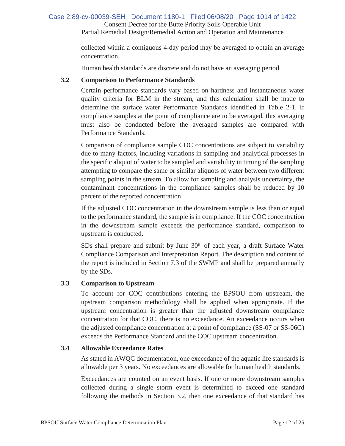# Consent Decree for the Butte Priority Soils Operable Unit Case 2:89-cv-00039-SEH Document 1180-1 Filed 06/08/20 Page 1014 of 1422

Partial Remedial Design/Remedial Action and Operation and Maintenance

collected within a contiguous 4-day period may be averaged to obtain an average concentration.

Human health standards are discrete and do not have an averaging period.

### **3.2 Comparison to Performance Standards**

Certain performance standards vary based on hardness and instantaneous water quality criteria for BLM in the stream, and this calculation shall be made to determine the surface water Performance Standards identified in Table 2-1. If compliance samples at the point of compliance are to be averaged, this averaging must also be conducted before the averaged samples are compared with Performance Standards.

Comparison of compliance sample COC concentrations are subject to variability due to many factors, including variations in sampling and analytical processes in the specific aliquot of water to be sampled and variability in timing of the sampling attempting to compare the same or similar aliquots of water between two different sampling points in the stream. To allow for sampling and analysis uncertainty, the contaminant concentrations in the compliance samples shall be reduced by 10 percent of the reported concentration.

If the adjusted COC concentration in the downstream sample is less than or equal to the performance standard, the sample is in compliance. If the COC concentration in the downstream sample exceeds the performance standard, comparison to upstream is conducted.

SDs shall prepare and submit by June  $30<sup>th</sup>$  of each year, a draft Surface Water Compliance Comparison and Interpretation Report. The description and content of the report is included in Section 7.3 of the SWMP and shall be prepared annually by the SDs.

### **3.3 Comparison to Upstream**

To account for COC contributions entering the BPSOU from upstream, the upstream comparison methodology shall be applied when appropriate. If the upstream concentration is greater than the adjusted downstream compliance concentration for that COC, there is no exceedance. An exceedance occurs when the adjusted compliance concentration at a point of compliance (SS-07 or SS-06G) exceeds the Performance Standard and the COC upstream concentration.

### **3.4 Allowable Exceedance Rates**

As stated in AWQC documentation, one exceedance of the aquatic life standards is allowable per 3 years. No exceedances are allowable for human health standards.

Exceedances are counted on an event basis. If one or more downstream samples collected during a single storm event is determined to exceed one standard following the methods in Section 3.2, then one exceedance of that standard has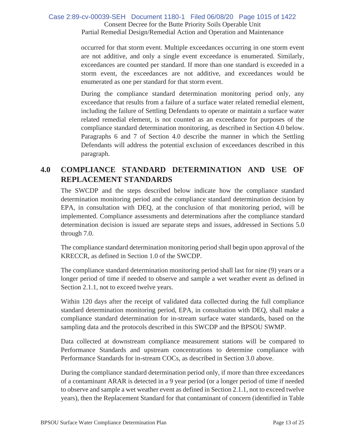### Consent Decree for the Butte Priority Soils Operable Unit Partial Remedial Design/Remedial Action and Operation and Maintenance Case 2:89-cv-00039-SEH Document 1180-1 Filed 06/08/20 Page 1015 of 1422

occurred for that storm event. Multiple exceedances occurring in one storm event are not additive, and only a single event exceedance is enumerated. Similarly, exceedances are counted per standard. If more than one standard is exceeded in a storm event, the exceedances are not additive, and exceedances would be enumerated as one per standard for that storm event.

During the compliance standard determination monitoring period only, any exceedance that results from a failure of a surface water related remedial element, including the failure of Settling Defendants to operate or maintain a surface water related remedial element, is not counted as an exceedance for purposes of the compliance standard determination monitoring, as described in Section 4.0 below. Paragraphs 6 and 7 of Section 4.0 describe the manner in which the Settling Defendants will address the potential exclusion of exceedances described in this paragraph.

# **4.0 COMPLIANCE STANDARD DETERMINATION AND USE OF REPLACEMENT STANDARDS**

The SWCDP and the steps described below indicate how the compliance standard determination monitoring period and the compliance standard determination decision by EPA, in consultation with DEQ, at the conclusion of that monitoring period, will be implemented. Compliance assessments and determinations after the compliance standard determination decision is issued are separate steps and issues, addressed in Sections 5.0 through 7.0.

The compliance standard determination monitoring period shall begin upon approval of the KRECCR, as defined in Section 1.0 of the SWCDP.

The compliance standard determination monitoring period shall last for nine (9) years or a longer period of time if needed to observe and sample a wet weather event as defined in Section 2.1.1, not to exceed twelve years.

Within 120 days after the receipt of validated data collected during the full compliance standard determination monitoring period, EPA, in consultation with DEQ, shall make a compliance standard determination for in-stream surface water standards, based on the sampling data and the protocols described in this SWCDP and the BPSOU SWMP.

Data collected at downstream compliance measurement stations will be compared to Performance Standards and upstream concentrations to determine compliance with Performance Standards for in-stream COCs, as described in Section 3.0 above.

During the compliance standard determination period only, if more than three exceedances of a contaminant ARAR is detected in a 9 year period (or a longer period of time if needed to observe and sample a wet weather event as defined in Section 2.1.1, not to exceed twelve years), then the Replacement Standard for that contaminant of concern (identified in Table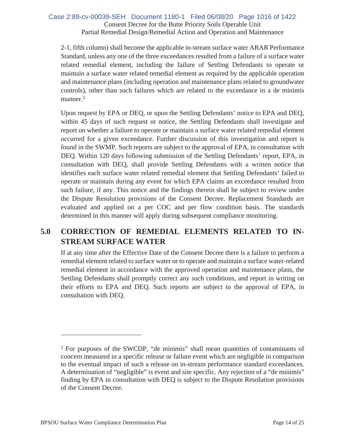### Consent Decree for the Butte Priority Soils Operable Unit Partial Remedial Design/Remedial Action and Operation and Maintenance Case 2:89-cv-00039-SEH Document 1180-1 Filed 06/08/20 Page 1016 of 1422

2-1, fifth column) shall become the applicable in-stream surface water ARAR Performance Standard, unless any one of the three exceedances resulted from a failure of a surface water related remedial element, including the failure of Settling Defendants to operate or maintain a surface water related remedial element as required by the applicable operation and maintenance plans (including operation and maintenance plans related to groundwater controls), other than such failures which are related to the exceedance in a de minimis manner.<sup>2</sup>

Upon request by EPA or DEQ, or upon the Settling Defendants' notice to EPA and DEQ, within 45 days of such request or notice, the Settling Defendants shall investigate and report on whether a failure to operate or maintain a surface water related remedial element occurred for a given exceedance. Further discussion of this investigation and report is found in the SWMP. Such reports are subject to the approval of EPA, in consultation with DEQ. Within 120 days following submission of the Settling Defendants' report, EPA, in consultation with DEQ, shall provide Settling Defendants with a written notice that identifies each surface water related remedial element that Settling Defendants' failed to operate or maintain during any event for which EPA claims an exceedance resulted from such failure, if any. This notice and the findings therein shall be subject to review under the Dispute Resolution provisions of the Consent Decree. Replacement Standards are evaluated and applied on a per COC and per flow condition basis. The standards determined in this manner will apply during subsequent compliance monitoring.

# **5.0 CORRECTION OF REMEDIAL ELEMENTS RELATED TO IN-STREAM SURFACE WATER**

If at any time after the Effective Date of the Consent Decree there is a failure to perform a remedial element related to surface water or to operate and maintain a surface water-related remedial element in accordance with the approved operation and maintenance plans, the Settling Defendants shall promptly correct any such conditions, and report in writing on their efforts to EPA and DEQ. Such reports are subject to the approval of EPA, in consultation with DEQ.

<sup>2</sup> For purposes of the SWCDP, "de minimis" shall mean quantities of contaminants of concern measured in a specific release or failure event which are negligible in comparison to the eventual impact of such a release on in-stream performance standard exceedances. A determination of "negligible" is event and site specific. Any rejection of a "de minimis" finding by EPA in consultation with DEQ is subject to the Dispute Resolution provisions of the Consent Decree.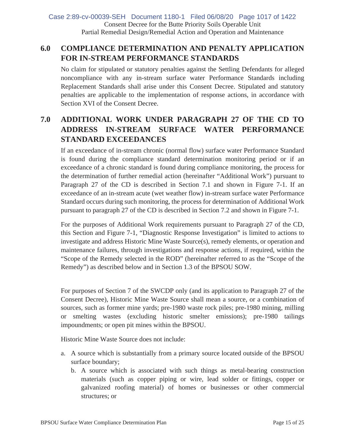Consent Decree for the Butte Priority Soils Operable Unit Partial Remedial Design/Remedial Action and Operation and Maintenance Case 2:89-cv-00039-SEH Document 1180-1 Filed 06/08/20 Page 1017 of 1422

# **6.0 COMPLIANCE DETERMINATION AND PENALTY APPLICATION FOR IN-STREAM PERFORMANCE STANDARDS**

No claim for stipulated or statutory penalties against the Settling Defendants for alleged noncompliance with any in-stream surface water Performance Standards including Replacement Standards shall arise under this Consent Decree. Stipulated and statutory penalties are applicable to the implementation of response actions, in accordance with Section XVI of the Consent Decree.

# **7.0 ADDITIONAL WORK UNDER PARAGRAPH 27 OF THE CD TO ADDRESS IN-STREAM SURFACE WATER PERFORMANCE STANDARD EXCEEDANCES**

If an exceedance of in-stream chronic (normal flow) surface water Performance Standard is found during the compliance standard determination monitoring period or if an exceedance of a chronic standard is found during compliance monitoring, the process for the determination of further remedial action (hereinafter "Additional Work") pursuant to Paragraph 27 of the CD is described in Section 7.1 and shown in Figure 7-1. If an exceedance of an in-stream acute (wet weather flow) in-stream surface water Performance Standard occurs during such monitoring, the process for determination of Additional Work pursuant to paragraph 27 of the CD is described in Section 7.2 and shown in Figure 7-1.

For the purposes of Additional Work requirements pursuant to Paragraph 27 of the CD, this Section and Figure 7-1, "Diagnostic Response Investigation" is limited to actions to investigate and address Historic Mine Waste Source(s), remedy elements, or operation and maintenance failures, through investigations and response actions, if required, within the "Scope of the Remedy selected in the ROD" (hereinafter referred to as the "Scope of the Remedy") as described below and in Section 1.3 of the BPSOU SOW.

For purposes of Section 7 of the SWCDP only (and its application to Paragraph 27 of the Consent Decree), Historic Mine Waste Source shall mean a source, or a combination of sources, such as former mine yards; pre-1980 waste rock piles; pre-1980 mining, milling or smelting wastes (excluding historic smelter emissions); pre-1980 tailings impoundments; or open pit mines within the BPSOU.

Historic Mine Waste Source does not include:

- a. A source which is substantially from a primary source located outside of the BPSOU surface boundary;
	- b. A source which is associated with such things as metal-bearing construction materials (such as copper piping or wire, lead solder or fittings, copper or galvanized roofing material) of homes or businesses or other commercial structures; or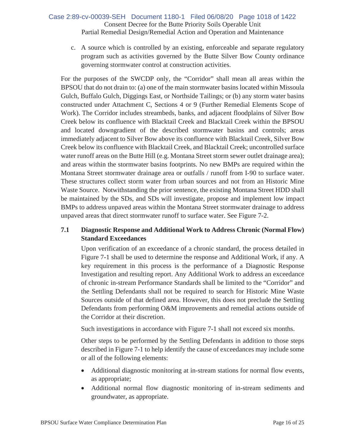### Consent Decree for the Butte Priority Soils Operable Unit Partial Remedial Design/Remedial Action and Operation and Maintenance Case 2:89-cv-00039-SEH Document 1180-1 Filed 06/08/20 Page 1018 of 1422

c. A source which is controlled by an existing, enforceable and separate regulatory program such as activities governed by the Butte Silver Bow County ordinance governing stormwater control at construction activities.

For the purposes of the SWCDP only, the "Corridor" shall mean all areas within the BPSOU that do not drain to: (a) one of the main stormwater basins located within Missoula Gulch, Buffalo Gulch, Diggings East, or Northside Tailings; or (b) any storm water basins constructed under Attachment C, Sections 4 or 9 (Further Remedial Elements Scope of Work). The Corridor includes streambeds, banks, and adjacent floodplains of Silver Bow Creek below its confluence with Blacktail Creek and Blacktail Creek within the BPSOU and located downgradient of the described stormwater basins and controls; areas immediately adjacent to Silver Bow above its confluence with Blacktail Creek, Silver Bow Creek below its confluence with Blacktail Creek, and Blacktail Creek; uncontrolled surface water runoff areas on the Butte Hill (e.g. Montana Street storm sewer outlet drainage area); and areas within the stormwater basins footprints. No new BMPs are required within the Montana Street stormwater drainage area or outfalls / runoff from I-90 to surface water. These structures collect storm water from urban sources and not from an Historic Mine Waste Source. Notwithstanding the prior sentence, the existing Montana Street HDD shall be maintained by the SDs, and SDs will investigate, propose and implement low impact BMPs to address unpaved areas within the Montana Street stormwater drainage to address unpaved areas that direct stormwater runoff to surface water. See Figure 7-2.

### **7.1 Diagnostic Response and Additional Work to Address Chronic (Normal Flow) Standard Exceedances**

Upon verification of an exceedance of a chronic standard, the process detailed in Figure 7-1 shall be used to determine the response and Additional Work, if any. A key requirement in this process is the performance of a Diagnostic Response Investigation and resulting report. Any Additional Work to address an exceedance of chronic in-stream Performance Standards shall be limited to the "Corridor" and the Settling Defendants shall not be required to search for Historic Mine Waste Sources outside of that defined area. However, this does not preclude the Settling Defendants from performing O&M improvements and remedial actions outside of the Corridor at their discretion.

Such investigations in accordance with Figure 7-1 shall not exceed six months.

Other steps to be performed by the Settling Defendants in addition to those steps described in Figure 7-1 to help identify the cause of exceedances may include some or all of the following elements:

- Additional diagnostic monitoring at in-stream stations for normal flow events, as appropriate;
- Additional normal flow diagnostic monitoring of in-stream sediments and groundwater, as appropriate.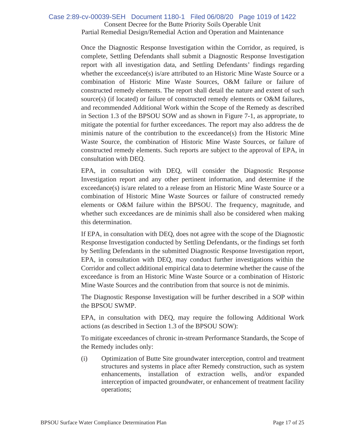### Consent Decree for the Butte Priority Soils Operable Unit Partial Remedial Design/Remedial Action and Operation and Maintenance Case 2:89-cv-00039-SEH Document 1180-1 Filed 06/08/20 Page 1019 of 1422

Once the Diagnostic Response Investigation within the Corridor, as required, is complete, Settling Defendants shall submit a Diagnostic Response Investigation report with all investigation data, and Settling Defendants' findings regarding whether the exceedance(s) is/are attributed to an Historic Mine Waste Source or a combination of Historic Mine Waste Sources, O&M failure or failure of constructed remedy elements. The report shall detail the nature and extent of such source(s) (if located) or failure of constructed remedy elements or  $O&M$  failures, and recommended Additional Work within the Scope of the Remedy as described in Section 1.3 of the BPSOU SOW and as shown in Figure 7-1, as appropriate, to mitigate the potential for further exceedances. The report may also address the de minimis nature of the contribution to the exceedance(s) from the Historic Mine Waste Source, the combination of Historic Mine Waste Sources, or failure of constructed remedy elements. Such reports are subject to the approval of EPA, in consultation with DEQ.

EPA, in consultation with DEQ, will consider the Diagnostic Response Investigation report and any other pertinent information, and determine if the exceedance(s) is/are related to a release from an Historic Mine Waste Source or a combination of Historic Mine Waste Sources or failure of constructed remedy elements or O&M failure within the BPSOU. The frequency, magnitude, and whether such exceedances are de minimis shall also be considered when making this determination.

If EPA, in consultation with DEQ, does not agree with the scope of the Diagnostic Response Investigation conducted by Settling Defendants, or the findings set forth by Settling Defendants in the submitted Diagnostic Response Investigation report, EPA, in consultation with DEQ, may conduct further investigations within the Corridor and collect additional empirical data to determine whether the cause of the exceedance is from an Historic Mine Waste Source or a combination of Historic Mine Waste Sources and the contribution from that source is not de minimis.

The Diagnostic Response Investigation will be further described in a SOP within the BPSOU SWMP.

EPA, in consultation with DEQ, may require the following Additional Work actions (as described in Section 1.3 of the BPSOU SOW):

To mitigate exceedances of chronic in-stream Performance Standards, the Scope of the Remedy includes only:

(i) Optimization of Butte Site groundwater interception, control and treatment structures and systems in place after Remedy construction, such as system enhancements, installation of extraction wells, and/or expanded interception of impacted groundwater, or enhancement of treatment facility operations;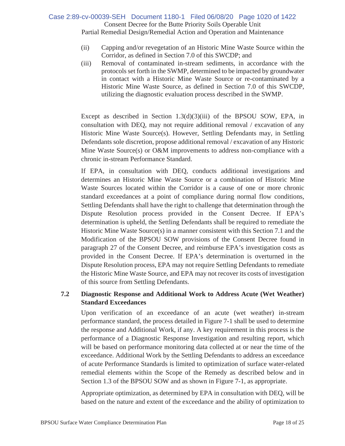### Consent Decree for the Butte Priority Soils Operable Unit Partial Remedial Design/Remedial Action and Operation and Maintenance Case 2:89-cv-00039-SEH Document 1180-1 Filed 06/08/20 Page 1020 of 1422

- (ii) Capping and/or revegetation of an Historic Mine Waste Source within the Corridor, as defined in Section 7.0 of this SWCDP; and
- (iii) Removal of contaminated in-stream sediments, in accordance with the protocols set forth in the SWMP, determined to be impacted by groundwater in contact with a Historic Mine Waste Source or re-contaminated by a Historic Mine Waste Source, as defined in Section 7.0 of this SWCDP, utilizing the diagnostic evaluation process described in the SWMP.

Except as described in Section  $1.3(d)(3)(iii)$  of the BPSOU SOW, EPA, in consultation with DEQ, may not require additional removal / excavation of any Historic Mine Waste Source(s). However, Settling Defendants may, in Settling Defendants sole discretion, propose additional removal / excavation of any Historic Mine Waste Source(s) or O&M improvements to address non-compliance with a chronic in-stream Performance Standard.

If EPA, in consultation with DEQ, conducts additional investigations and determines an Historic Mine Waste Source or a combination of Historic Mine Waste Sources located within the Corridor is a cause of one or more chronic standard exceedances at a point of compliance during normal flow conditions, Settling Defendants shall have the right to challenge that determination through the Dispute Resolution process provided in the Consent Decree. If EPA's determination is upheld, the Settling Defendants shall be required to remediate the Historic Mine Waste Source(s) in a manner consistent with this Section 7.1 and the Modification of the BPSOU SOW provisions of the Consent Decree found in paragraph 27 of the Consent Decree, and reimburse EPA's investigation costs as provided in the Consent Decree. If EPA's determination is overturned in the Dispute Resolution process, EPA may not require Settling Defendants to remediate the Historic Mine Waste Source, and EPA may not recover its costs of investigation of this source from Settling Defendants.

### **7.2 Diagnostic Response and Additional Work to Address Acute (Wet Weather) Standard Exceedances**

Upon verification of an exceedance of an acute (wet weather) in-stream performance standard, the process detailed in Figure 7-1 shall be used to determine the response and Additional Work, if any. A key requirement in this process is the performance of a Diagnostic Response Investigation and resulting report, which will be based on performance monitoring data collected at or near the time of the exceedance. Additional Work by the Settling Defendants to address an exceedance of acute Performance Standards is limited to optimization of surface water-related remedial elements within the Scope of the Remedy as described below and in Section 1.3 of the BPSOU SOW and as shown in Figure 7-1, as appropriate.

Appropriate optimization, as determined by EPA in consultation with DEQ, will be based on the nature and extent of the exceedance and the ability of optimization to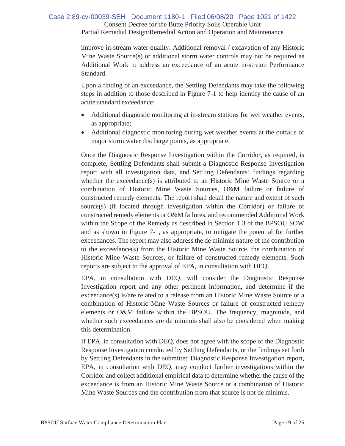### Consent Decree for the Butte Priority Soils Operable Unit Partial Remedial Design/Remedial Action and Operation and Maintenance Case 2:89-cv-00039-SEH Document 1180-1 Filed 06/08/20 Page 1021 of 1422

improve in-stream water quality. Additional removal / excavation of any Historic Mine Waste Source(s) or additional storm water controls may not be required as Additional Work to address an exceedance of an acute in-stream Performance Standard.

Upon a finding of an exceedance, the Settling Defendants may take the following steps in addition to those described in Figure 7-1 to help identify the cause of an acute standard exceedance:

- Additional diagnostic monitoring at in-stream stations for wet weather events, as appropriate;
- Additional diagnostic monitoring during wet weather events at the outfalls of major storm water discharge points, as appropriate.

Once the Diagnostic Response Investigation within the Corridor, as required, is complete, Settling Defendants shall submit a Diagnostic Response Investigation report with all investigation data, and Settling Defendants' findings regarding whether the exceedance(s) is attributed to an Historic Mine Waste Source or a combination of Historic Mine Waste Sources, O&M failure or failure of constructed remedy elements. The report shall detail the nature and extent of such source(s) (if located through investigation within the Corridor) or failure of constructed remedy elements or O&M failures, and recommended Additional Work within the Scope of the Remedy as described in Section 1.3 of the BPSOU SOW and as shown in Figure 7-1, as appropriate, to mitigate the potential for further exceedances. The report may also address the de minimis nature of the contribution to the exceedance(s) from the Historic Mine Waste Source, the combination of Historic Mine Waste Sources, or failure of constructed remedy elements. Such reports are subject to the approval of EPA, in consultation with DEQ.

EPA, in consultation with DEQ, will consider the Diagnostic Response Investigation report and any other pertinent information, and determine if the exceedance(s) is/are related to a release from an Historic Mine Waste Source or a combination of Historic Mine Waste Sources or failure of constructed remedy elements or O&M failure within the BPSOU. The frequency, magnitude, and whether such exceedances are de minimis shall also be considered when making this determination.

If EPA, in consultation with DEQ, does not agree with the scope of the Diagnostic Response Investigation conducted by Settling Defendants, or the findings set forth by Settling Defendants in the submitted Diagnostic Response Investigation report, EPA, in consultation with DEQ, may conduct further investigations within the Corridor and collect additional empirical data to determine whether the cause of the exceedance is from an Historic Mine Waste Source or a combination of Historic Mine Waste Sources and the contribution from that source is not de minimis.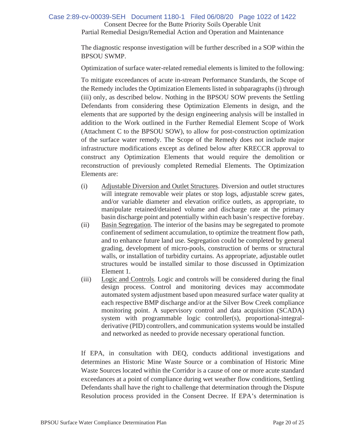### Consent Decree for the Butte Priority Soils Operable Unit Partial Remedial Design/Remedial Action and Operation and Maintenance Case 2:89-cv-00039-SEH Document 1180-1 Filed 06/08/20 Page 1022 of 1422

The diagnostic response investigation will be further described in a SOP within the BPSOU SWMP.

Optimization of surface water-related remedial elements is limited to the following:

To mitigate exceedances of acute in-stream Performance Standards, the Scope of the Remedy includes the Optimization Elements listed in subparagraphs (i) through (iii) only, as described below. Nothing in the BPSOU SOW prevents the Settling Defendants from considering these Optimization Elements in design, and the elements that are supported by the design engineering analysis will be installed in addition to the Work outlined in the Further Remedial Element Scope of Work (Attachment C to the BPSOU SOW), to allow for post-construction optimization of the surface water remedy. The Scope of the Remedy does not include major infrastructure modifications except as defined below after KRECCR approval to construct any Optimization Elements that would require the demolition or reconstruction of previously completed Remedial Elements. The Optimization Elements are:

- (i) Adjustable Diversion and Outlet Structures. Diversion and outlet structures will integrate removable weir plates or stop logs, adjustable screw gates, and/or variable diameter and elevation orifice outlets, as appropriate, to manipulate retained/detained volume and discharge rate at the primary basin discharge point and potentially within each basin's respective forebay.
- (ii) Basin Segregation. The interior of the basins may be segregated to promote confinement of sediment accumulation, to optimize the treatment flow path, and to enhance future land use. Segregation could be completed by general grading, development of micro-pools, construction of berms or structural walls, or installation of turbidity curtains. As appropriate, adjustable outlet structures would be installed similar to those discussed in Optimization Element 1.
- (iii) Logic and Controls. Logic and controls will be considered during the final design process. Control and monitoring devices may accommodate automated system adjustment based upon measured surface water quality at each respective BMP discharge and/or at the Silver Bow Creek compliance monitoring point. A supervisory control and data acquisition (SCADA) system with programmable logic controller(s), proportional-integralderivative (PID) controllers, and communication systems would be installed and networked as needed to provide necessary operational function.

If EPA, in consultation with DEQ, conducts additional investigations and determines an Historic Mine Waste Source or a combination of Historic Mine Waste Sources located within the Corridor is a cause of one or more acute standard exceedances at a point of compliance during wet weather flow conditions, Settling Defendants shall have the right to challenge that determination through the Dispute Resolution process provided in the Consent Decree. If EPA's determination is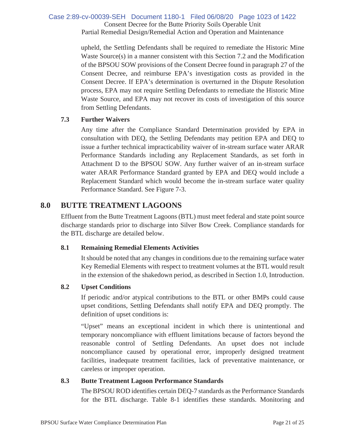### Consent Decree for the Butte Priority Soils Operable Unit Partial Remedial Design/Remedial Action and Operation and Maintenance Case 2:89-cv-00039-SEH Document 1180-1 Filed 06/08/20 Page 1023 of 1422

upheld, the Settling Defendants shall be required to remediate the Historic Mine Waste Source(s) in a manner consistent with this Section 7.2 and the Modification of the BPSOU SOW provisions of the Consent Decree found in paragraph 27 of the Consent Decree, and reimburse EPA's investigation costs as provided in the Consent Decree. If EPA's determination is overturned in the Dispute Resolution process, EPA may not require Settling Defendants to remediate the Historic Mine Waste Source, and EPA may not recover its costs of investigation of this source from Settling Defendants.

### **7.3 Further Waivers**

Any time after the Compliance Standard Determination provided by EPA in consultation with DEQ, the Settling Defendants may petition EPA and DEQ to issue a further technical impracticability waiver of in-stream surface water ARAR Performance Standards including any Replacement Standards, as set forth in Attachment D to the BPSOU SOW. Any further waiver of an in-stream surface water ARAR Performance Standard granted by EPA and DEQ would include a Replacement Standard which would become the in-stream surface water quality Performance Standard. See Figure 7-3.

## **8.0 BUTTE TREATMENT LAGOONS**

Effluent from the Butte Treatment Lagoons (BTL) must meet federal and state point source discharge standards prior to discharge into Silver Bow Creek. Compliance standards for the BTL discharge are detailed below.

### **8.1 Remaining Remedial Elements Activities**

It should be noted that any changes in conditions due to the remaining surface water Key Remedial Elements with respect to treatment volumes at the BTL would result in the extension of the shakedown period, as described in Section 1.0, Introduction.

### **8.2 Upset Conditions**

If periodic and/or atypical contributions to the BTL or other BMPs could cause upset conditions, Settling Defendants shall notify EPA and DEQ promptly. The definition of upset conditions is:

"Upset" means an exceptional incident in which there is unintentional and temporary noncompliance with effluent limitations because of factors beyond the reasonable control of Settling Defendants. An upset does not include noncompliance caused by operational error, improperly designed treatment facilities, inadequate treatment facilities, lack of preventative maintenance, or careless or improper operation.

### **8.3 Butte Treatment Lagoon Performance Standards**

The BPSOU ROD identifies certain DEQ-7 standards as the Performance Standards for the BTL discharge. Table 8-1 identifies these standards. Monitoring and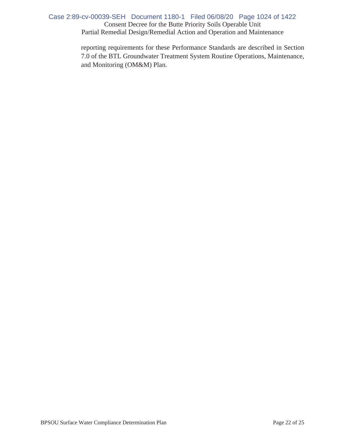### Consent Decree for the Butte Priority Soils Operable Unit Partial Remedial Design/Remedial Action and Operation and Maintenance Case 2:89-cv-00039-SEH Document 1180-1 Filed 06/08/20 Page 1024 of 1422

reporting requirements for these Performance Standards are described in Section 7.0 of the BTL Groundwater Treatment System Routine Operations, Maintenance, and Monitoring (OM&M) Plan.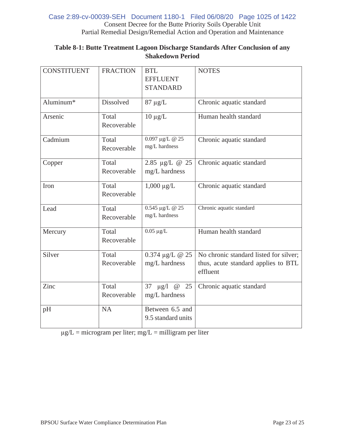### Consent Decree for the Butte Priority Soils Operable Unit Partial Remedial Design/Remedial Action and Operation and Maintenance Case 2:89-cv-00039-SEH Document 1180-1 Filed 06/08/20 Page 1025 of 1422

| <b>CONSTITUENT</b> | <b>FRACTION</b>      | <b>BTL</b><br><b>EFFLUENT</b><br><b>STANDARD</b> | <b>NOTES</b>                                                                              |
|--------------------|----------------------|--------------------------------------------------|-------------------------------------------------------------------------------------------|
| Aluminum*          | Dissolved            | $87 \mu g/L$                                     | Chronic aquatic standard                                                                  |
| Arsenic            | Total<br>Recoverable | $10 \mu g/L$                                     | Human health standard                                                                     |
| Cadmium            | Total<br>Recoverable | $0.097 \mu g/L \ @~25$<br>mg/L hardness          | Chronic aquatic standard                                                                  |
| Copper             | Total<br>Recoverable | 2.85 µg/L @ 25<br>mg/L hardness                  | Chronic aquatic standard                                                                  |
| Iron               | Total<br>Recoverable | $1,000 \mu g/L$                                  | Chronic aquatic standard                                                                  |
| Lead               | Total<br>Recoverable | 0.545 µg/L @ 25<br>mg/L hardness                 | Chronic aquatic standard                                                                  |
| Mercury            | Total<br>Recoverable | $0.05 \ \mu g/L$                                 | Human health standard                                                                     |
| Silver             | Total<br>Recoverable | $0.374 \mu g/L \ @ 25$<br>mg/L hardness          | No chronic standard listed for silver;<br>thus, acute standard applies to BTL<br>effluent |
| Zinc               | Total<br>Recoverable | 37 $\mu$ g/l @<br>25<br>mg/L hardness            | Chronic aquatic standard                                                                  |
| pH                 | <b>NA</b>            | Between 6.5 and<br>9.5 standard units            |                                                                                           |

### **Table 8-1: Butte Treatment Lagoon Discharge Standards After Conclusion of any Shakedown Period**

 $\mu$ g/L = microgram per liter; mg/L = milligram per liter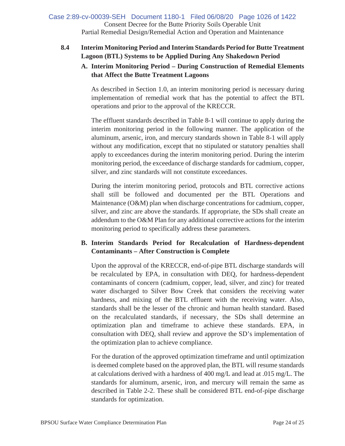### Consent Decree for the Butte Priority Soils Operable Unit Partial Remedial Design/Remedial Action and Operation and Maintenance Case 2:89-cv-00039-SEH Document 1180-1 Filed 06/08/20 Page 1026 of 1422

### **8.4 Interim Monitoring Period and Interim Standards Period for Butte Treatment Lagoon (BTL) Systems to be Applied During Any Shakedown Period**

### **A. Interim Monitoring Period – During Construction of Remedial Elements that Affect the Butte Treatment Lagoons**

As described in Section 1.0, an interim monitoring period is necessary during implementation of remedial work that has the potential to affect the BTL operations and prior to the approval of the KRECCR.

The effluent standards described in Table 8-1 will continue to apply during the interim monitoring period in the following manner. The application of the aluminum, arsenic, iron, and mercury standards shown in Table 8-1 will apply without any modification, except that no stipulated or statutory penalties shall apply to exceedances during the interim monitoring period. During the interim monitoring period, the exceedance of discharge standards for cadmium, copper, silver, and zinc standards will not constitute exceedances.

During the interim monitoring period, protocols and BTL corrective actions shall still be followed and documented per the BTL Operations and Maintenance (O&M) plan when discharge concentrations for cadmium, copper, silver, and zinc are above the standards. If appropriate, the SDs shall create an addendum to the O&M Plan for any additional corrective actions for the interim monitoring period to specifically address these parameters.

### **B. Interim Standards Period for Recalculation of Hardness-dependent Contaminants – After Construction is Complete**

Upon the approval of the KRECCR, end-of-pipe BTL discharge standards will be recalculated by EPA, in consultation with DEQ, for hardness-dependent contaminants of concern (cadmium, copper, lead, silver, and zinc) for treated water discharged to Silver Bow Creek that considers the receiving water hardness, and mixing of the BTL effluent with the receiving water. Also, standards shall be the lesser of the chronic and human health standard. Based on the recalculated standards, if necessary, the SDs shall determine an optimization plan and timeframe to achieve these standards. EPA, in consultation with DEQ, shall review and approve the SD's implementation of the optimization plan to achieve compliance.

For the duration of the approved optimization timeframe and until optimization is deemed complete based on the approved plan, the BTL will resume standards at calculations derived with a hardness of 400 mg/L and lead at .015 mg/L. The standards for aluminum, arsenic, iron, and mercury will remain the same as described in Table 2-2. These shall be considered BTL end-of-pipe discharge standards for optimization.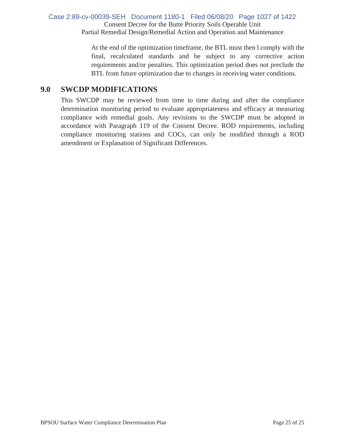### Consent Decree for the Butte Priority Soils Operable Unit Partial Remedial Design/Remedial Action and Operation and Maintenance Case 2:89-cv-00039-SEH Document 1180-1 Filed 06/08/20 Page 1027 of 1422

At the end of the optimization timeframe, the BTL must then l comply with the final, recalculated standards and be subject to any corrective action requirements and/or penalties. This optimization period does not preclude the BTL from future optimization due to changes in receiving water conditions.

## **9.0 SWCDP MODIFICATIONS**

This SWCDP may be reviewed from time to time during and after the compliance determination monitoring period to evaluate appropriateness and efficacy at measuring compliance with remedial goals. Any revisions to the SWCDP must be adopted in accordance with Paragraph 119 of the Consent Decree. ROD requirements, including compliance monitoring stations and COCs, can only be modified through a ROD amendment or Explanation of Significant Differences.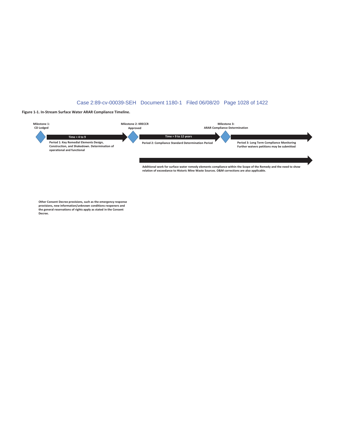#### Case 2:89-cv-00039-SEH Document 1180-1 Filed 06/08/20 Page 1028 of 1422

#### Figure 1-1. In-Stream Surface Water ARAR Compliance Timeline.



Other Consent Decree provisions, such as the emergency response provisions, new information/unknown conditions reopeners and<br>the general reservations of rights apply as stated in the Consent Decree.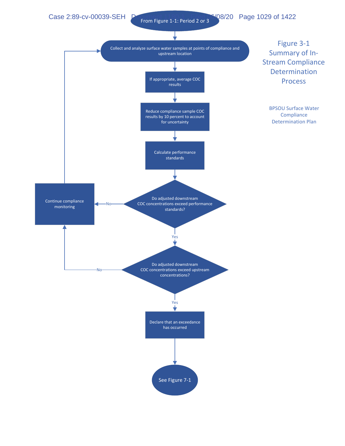Case 2:89-cv-00039-SEH **Document 12: Period 2 or 3<sup>6/0</sup>8/20** Page 1029 of 1422

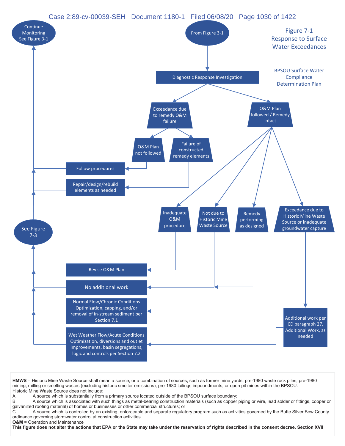### Case 2:89-cv-00039-SEH Document 1180-1 Filed 06/08/20 Page 1030 of 1422



HMWS = Historic Mine Waste Source shall mean a source, or a combination of sources, such as former mine yards; pre-1980 waste rock piles; pre-1980 mining, milling or smelting wastes (excluding historic smelter emissions); pre-1980 tailings impoundments; or open pit mines within the BPSOU. Historic Mine Waste Source does not include:

A. A source which is substantially from a primary source located outside of the BPSOU surface boundary;

B. A source which is associated with such things as metal-bearing construction materials (such as copper piping or wire, lead solder or fittings, copper or galvanized roofing material) of homes or businesses or other commercial structures; or

 $\tilde{C}$ . A source which is controlled by an existing, enforceable and separate regulatory program such as activities governed by the Butte Silver Bow County ordinance governing stormwater control at construction activities.

**28M** = Operation and Maintenance

This figure does not alter the actions that EPA or the State may take under the reservation of rights described in the consent decree, Section XVII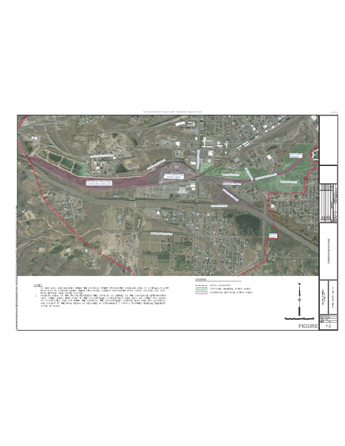

**FIGURE**

 $7 - 2$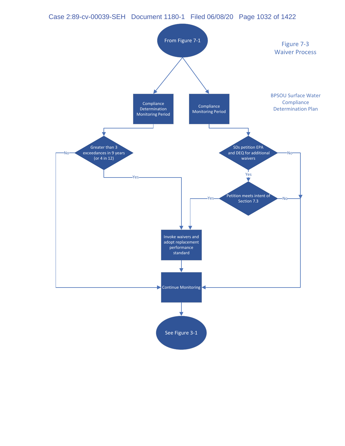### Case 2:89-cv-00039-SEH Document 1180-1 Filed 06/08/20 Page 1032 of 1422